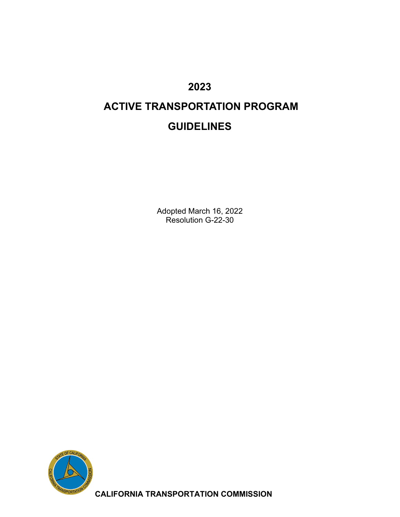# **2023**

# **ACTIVE TRANSPORTATION PROGRAM GUIDELINES**

Adopted March 16, 2022 Resolution G-22-30



**CALIFORNIA TRANSPORTATION COMMISSION**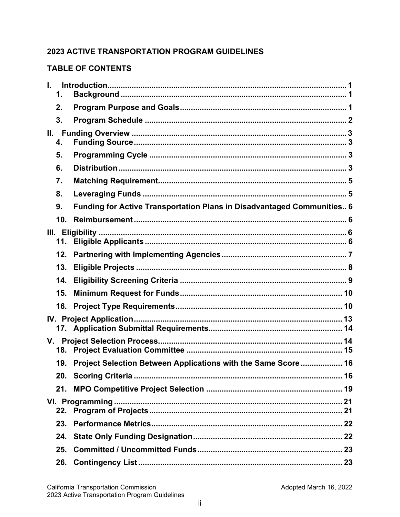### **2023 ACTIVE TRANSPORTATION PROGRAM GUIDELINES**

#### **TABLE OF CONTENTS**

| L.<br>1. |                                                                        |  |
|----------|------------------------------------------------------------------------|--|
| 2.       |                                                                        |  |
| 3.       |                                                                        |  |
| Ш.<br>4. |                                                                        |  |
| 5.       |                                                                        |  |
| 6.       |                                                                        |  |
| 7.       |                                                                        |  |
| 8.       |                                                                        |  |
| 9.       | Funding for Active Transportation Plans in Disadvantaged Communities 6 |  |
| 10.      |                                                                        |  |
| 11.      |                                                                        |  |
| 12.      |                                                                        |  |
| 13.      |                                                                        |  |
| 14.      |                                                                        |  |
| 15.      |                                                                        |  |
| 16.      |                                                                        |  |
|          |                                                                        |  |
|          |                                                                        |  |
| 19.      | Project Selection Between Applications with the Same Score 16          |  |
|          |                                                                        |  |
| 21.      |                                                                        |  |
| 22.      |                                                                        |  |
| 23.      |                                                                        |  |
| 24.      |                                                                        |  |
| 25.      |                                                                        |  |
| 26.      |                                                                        |  |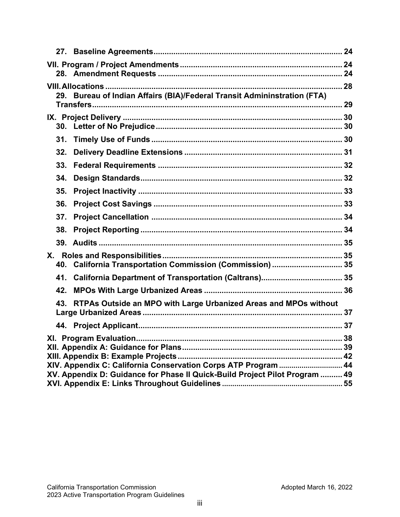| 29. Bureau of Indian Affairs (BIA)/Federal Transit Admininstration (FTA)                                                                      |  |  |
|-----------------------------------------------------------------------------------------------------------------------------------------------|--|--|
|                                                                                                                                               |  |  |
|                                                                                                                                               |  |  |
| 31.                                                                                                                                           |  |  |
| 32.                                                                                                                                           |  |  |
| 33.                                                                                                                                           |  |  |
| 34.                                                                                                                                           |  |  |
| 35.                                                                                                                                           |  |  |
| 36.                                                                                                                                           |  |  |
| 37.                                                                                                                                           |  |  |
| 38.                                                                                                                                           |  |  |
|                                                                                                                                               |  |  |
| 40. California Transportation Commission (Commission)  35                                                                                     |  |  |
| 41.                                                                                                                                           |  |  |
| 42.                                                                                                                                           |  |  |
| RTPAs Outside an MPO with Large Urbanized Areas and MPOs without<br>43.                                                                       |  |  |
|                                                                                                                                               |  |  |
| 38                                                                                                                                            |  |  |
| XIV. Appendix C: California Conservation Corps ATP Program  44<br>XV. Appendix D: Guidance for Phase II Quick-Build Project Pilot Program  49 |  |  |
|                                                                                                                                               |  |  |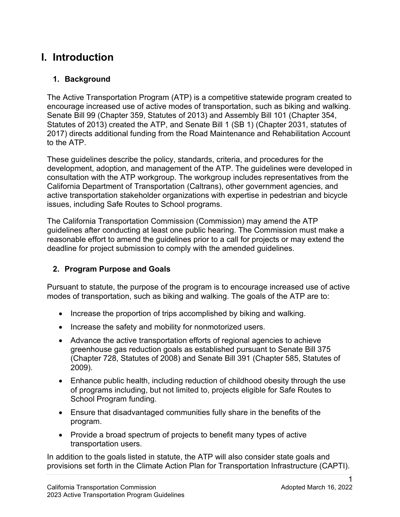# **I. Introduction**

### **1. Background**

The Active Transportation Program (ATP) is a competitive statewide program created to encourage increased use of active modes of transportation, such as biking and walking. Senate Bill 99 (Chapter 359, Statutes of 2013) and Assembly Bill 101 (Chapter 354, Statutes of 2013) created the ATP, and Senate Bill 1 (SB 1) (Chapter 2031, statutes of 2017) directs additional funding from the Road Maintenance and Rehabilitation Account to the ATP.

These guidelines describe the policy, standards, criteria, and procedures for the development, adoption, and management of the ATP. The guidelines were developed in consultation with the ATP workgroup. The workgroup includes representatives from the California Department of Transportation (Caltrans), other government agencies, and active transportation stakeholder organizations with expertise in pedestrian and bicycle issues, including Safe Routes to School programs.

 guidelines after conducting at least one public hearing. The Commission must make a The California Transportation Commission (Commission) may amend the ATP reasonable effort to amend the guidelines prior to a call for projects or may extend the deadline for project submission to comply with the amended guidelines.

# **2. Program Purpose and Goals**

 modes of transportation, such as biking and walking. The goals of the ATP are to: Pursuant to statute, the purpose of the program is to encourage increased use of active

- Increase the proportion of trips accomplished by biking and walking.
- Increase the safety and mobility for nonmotorized users.
- (Chapter 728, Statutes of 2008) and Senate Bill 391 (Chapter 585, Statutes of • Advance the active transportation efforts of regional agencies to achieve greenhouse gas reduction goals as established pursuant to Senate Bill 375 2009).
- • Enhance public health, including reduction of childhood obesity through the use of programs including, but not limited to, projects eligible for Safe Routes to School Program funding.
- Ensure that disadvantaged communities fully share in the benefits of the program.
- transportation users. • Provide a broad spectrum of projects to benefit many types of active

 transportation users. In addition to the goals listed in statute, the ATP will also consider state goals and provisions set forth in the Climate Action Plan for Transportation Infrastructure (CAPTI).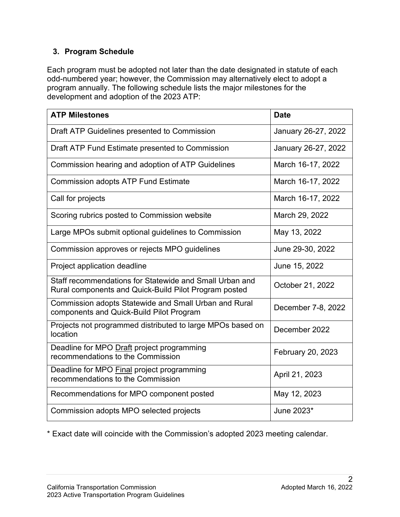### **3. Program Schedule**

Each program must be adopted not later than the date designated in statute of each odd-numbered year; however, the Commission may alternatively elect to adopt a program annually. The following schedule lists the major milestones for the development and adoption of the 2023 ATP:

| <b>ATP Milestones</b>                                                                                            | <b>Date</b>         |
|------------------------------------------------------------------------------------------------------------------|---------------------|
| Draft ATP Guidelines presented to Commission                                                                     | January 26-27, 2022 |
| Draft ATP Fund Estimate presented to Commission                                                                  | January 26-27, 2022 |
| Commission hearing and adoption of ATP Guidelines                                                                | March 16-17, 2022   |
| <b>Commission adopts ATP Fund Estimate</b>                                                                       | March 16-17, 2022   |
| Call for projects                                                                                                | March 16-17, 2022   |
| Scoring rubrics posted to Commission website                                                                     | March 29, 2022      |
| Large MPOs submit optional guidelines to Commission                                                              | May 13, 2022        |
| Commission approves or rejects MPO guidelines                                                                    | June 29-30, 2022    |
| Project application deadline                                                                                     | June 15, 2022       |
| Staff recommendations for Statewide and Small Urban and<br>Rural components and Quick-Build Pilot Program posted | October 21, 2022    |
| Commission adopts Statewide and Small Urban and Rural<br>components and Quick-Build Pilot Program                | December 7-8, 2022  |
| Projects not programmed distributed to large MPOs based on<br>location                                           | December 2022       |
| Deadline for MPO Draft project programming<br>recommendations to the Commission                                  | February 20, 2023   |
| Deadline for MPO <b>Final</b> project programming<br>recommendations to the Commission                           | April 21, 2023      |
| Recommendations for MPO component posted                                                                         | May 12, 2023        |
| Commission adopts MPO selected projects                                                                          | June 2023*          |

\* Exact date will coincide with the Commission's adopted 2023 meeting calendar.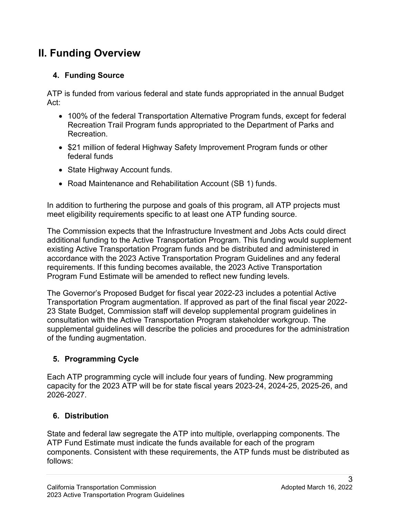# **II. Funding Overview**

# **4. Funding Source**

ATP is funded from various federal and state funds appropriated in the annual Budget Act:

- • 100% of the federal Transportation Alternative Program funds, except for federal Recreation Trail Program funds appropriated to the Department of Parks and **Recreation**
- • \$21 million of federal Highway Safety Improvement Program funds or other federal funds
- State Highway Account funds.
- Road Maintenance and Rehabilitation Account (SB 1) funds.

meet eligibility requirements specific to at least one ATP funding source. In addition to furthering the purpose and goals of this program, all ATP projects must

The Commission expects that the Infrastructure Investment and Jobs Acts could direct additional funding to the Active Transportation Program. This funding would supplement existing Active Transportation Program funds and be distributed and administered in accordance with the 2023 Active Transportation Program Guidelines and any federal requirements. If this funding becomes available, the 2023 Active Transportation Program Fund Estimate will be amended to reflect new funding levels.

 23 State Budget, Commission staff will develop supplemental program guidelines in The Governor's Proposed Budget for fiscal year 2022-23 includes a potential Active Transportation Program augmentation. If approved as part of the final fiscal year 2022 consultation with the Active Transportation Program stakeholder workgroup. The supplemental guidelines will describe the policies and procedures for the administration of the funding augmentation.

# **5. Programming Cycle**

Each ATP programming cycle will include four years of funding. New programming capacity for the 2023 ATP will be for state fiscal years 2023-24, 2024-25, 2025-26, and 2026-2027.

# **6. Distribution**

State and federal law segregate the ATP into multiple, overlapping components. The ATP Fund Estimate must indicate the funds available for each of the program components. Consistent with these requirements, the ATP funds must be distributed as follows: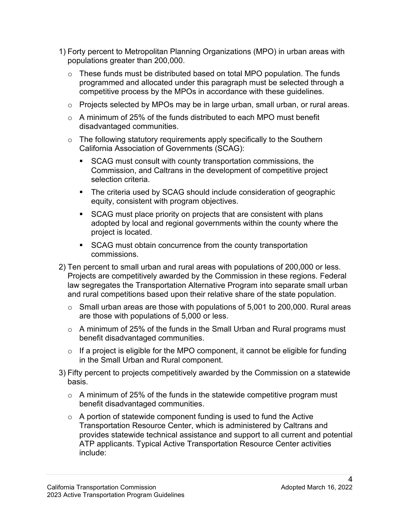- 1) Forty percent to Metropolitan Planning Organizations (MPO) in urban areas with populations greater than 200,000.
	- $\circ$  These funds must be distributed based on total MPO population. The funds programmed and allocated under this paragraph must be selected through a competitive process by the MPOs in accordance with these guidelines.
	- $\circ$  Projects selected by MPOs may be in large urban, small urban, or rural areas.
	- $\circ$  A minimum of 25% of the funds distributed to each MPO must benefit disadvantaged communities.
	- $\circ$  The following statutory requirements apply specifically to the Southern California Association of Governments (SCAG):
		- SCAG must consult with county transportation commissions, the Commission, and Caltrans in the development of competitive project selection criteria.
		- equity, consistent with program objectives. • The criteria used by SCAG should include consideration of geographic
		- SCAG must place priority on projects that are consistent with plans adopted by local and regional governments within the county where the project is located.
		- SCAG must obtain concurrence from the county transportation commissions.
- 2) Ten percent to small urban and rural areas with populations of 200,000 or less. Projects are competitively awarded by the Commission in these regions. Federal law segregates the Transportation Alternative Program into separate small urban and rural competitions based upon their relative share of the state population.
	- are those with populations of 5,000 or less.  $\circ$  Small urban areas are those with populations of 5,001 to 200,000. Rural areas
	- $\circ$  A minimum of 25% of the funds in the Small Urban and Rural programs must benefit disadvantaged communities.
	- $\circ$  If a project is eligible for the MPO component, it cannot be eligible for funding in the Small Urban and Rural component.
- 3) Fifty percent to projects competitively awarded by the Commission on a statewide basis.
	- $\circ$  A minimum of 25% of the funds in the statewide competitive program must benefit disadvantaged communities.
- $\circ$  A portion of statewide component funding is used to fund the Active ATP applicants. Typical Active Transportation Resource Center activities include: Transportation Resource Center, which is administered by Caltrans and provides statewide technical assistance and support to all current and potential include:<br>24<br>California Transportation Commission Adopted March 16, 2022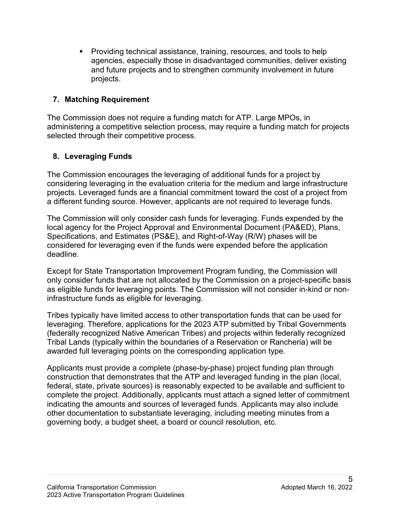projects. Providing technical assistance, training, resources, and tools to help agencies, especially those in disadvantaged communities, deliver existing and future projects and to strengthen community involvement in future

### **7. Matching Requirement**

The Commission does not require a funding match for ATP. Large MPOs, in administering a competitive selection process, may require a funding match for projects selected through their competitive process.

# **8. Leveraging Funds**

 The Commission encourages the leveraging of additional funds for a project by a different funding source. However, applicants are not required to leverage funds. considering leveraging in the evaluation criteria for the medium and large infrastructure projects. Leveraged funds are a financial commitment toward the cost of a project from

The Commission will only consider cash funds for leveraging. Funds expended by the local agency for the Project Approval and Environmental Document (PA&ED), Plans, Specifications, and Estimates (PS&E), and Right-of-Way (R/W) phases will be considered for leveraging even if the funds were expended before the application deadline.

 infrastructure funds as eligible for leveraging. Except for State Transportation Improvement Program funding, the Commission will only consider funds that are not allocated by the Commission on a project-specific basis as eligible funds for leveraging points. The Commission will not consider in-kind or non-

Tribes typically have limited access to other transportation funds that can be used for leveraging. Therefore, applications for the 2023 ATP submitted by Tribal Governments (federally recognized Native American Tribes) and projects within federally recognized Tribal Lands (typically within the boundaries of a Reservation or Rancheria) will be awarded full leveraging points on the corresponding application type.

 construction that demonstrates that the ATP and leveraged funding in the plan (local, complete the project. Additionally, applicants must attach a signed letter of commitment governing body, a budget sheet, a board or council resolution, etc. Applicants must provide a complete (phase-by-phase) project funding plan through federal, state, private sources) is reasonably expected to be available and sufficient to indicating the amounts and sources of leveraged funds. Applicants may also include other documentation to substantiate leveraging, including meeting minutes from a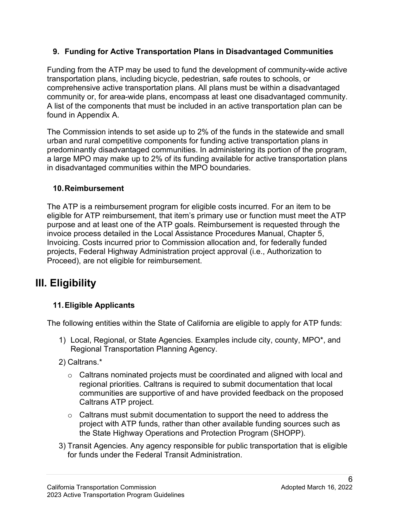### **9. Funding for Active Transportation Plans in Disadvantaged Communities**

 Funding from the ATP may be used to fund the development of community-wide active found in Appendix A. transportation plans, including bicycle, pedestrian, safe routes to schools, or comprehensive active transportation plans. All plans must be within a disadvantaged community or, for area-wide plans, encompass at least one disadvantaged community. A list of the components that must be included in an active transportation plan can be

The Commission intends to set aside up to 2% of the funds in the statewide and small urban and rural competitive components for funding active transportation plans in predominantly disadvantaged communities. In administering its portion of the program, a large MPO may make up to 2% of its funding available for active transportation plans in disadvantaged communities within the MPO boundaries.

### **10.Reimbursement**

 invoice process detailed in the Local Assistance Procedures Manual, Chapter 5, The ATP is a reimbursement program for eligible costs incurred. For an item to be eligible for ATP reimbursement, that item's primary use or function must meet the ATP purpose and at least one of the ATP goals. Reimbursement is requested through the Invoicing. Costs incurred prior to Commission allocation and, for federally funded projects, Federal Highway Administration project approval (i.e., Authorization to Proceed), are not eligible for reimbursement.

# **III. Eligibility**

# **11.Eligible Applicants**

The following entities within the State of California are eligible to apply for ATP funds:

- 1) Local, Regional, or State Agencies. Examples include city, county, MPO\*, and Regional Transportation Planning Agency.
- 2) Caltrans.\*
	- $\circ$   $\,$  Caltrans nominated projects must be coordinated and aligned with local and regional priorities. Caltrans is required to submit documentation that local communities are supportive of and have provided feedback on the proposed Caltrans ATP project.
	- $\circ$  Caltrans must submit documentation to support the need to address the project with ATP funds, rather than other available funding sources such as the State Highway Operations and Protection Program (SHOPP).
- for funds under the Federal Transit Administration. 3) Transit Agencies. Any agency responsible for public transportation that is eligible for funds under the Federal Transit Administration.<br>6<br>California Transportation Commission Adopted March 16, 2022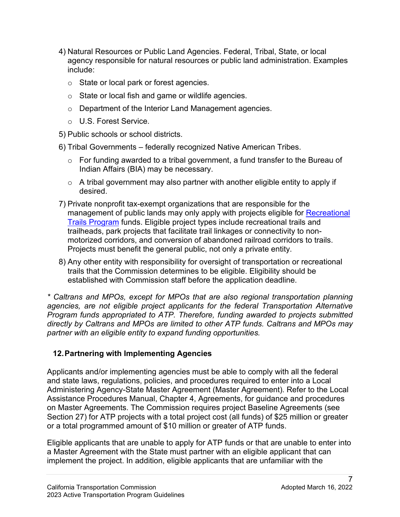- 4) Natural Resources or Public Land Agencies. Federal, Tribal, State, or local agency responsible for natural resources or public land administration. Examples include:
	- o State or local park or forest agencies.
	- $\circ$  State or local fish and game or wildlife agencies.
	- o Department of the Interior Land Management agencies.
	- o U.S. Forest Service.
- 5) Public schools or school districts.
- 6) Tribal Governments federally recognized Native American Tribes.
	- $\circ$  For funding awarded to a tribal government, a fund transfer to the Bureau of Indian Affairs (BIA) may be necessary.
	- $\circ$   $\,$  A tribal government may also partner with another eligible entity to apply if desired.
- management of public lands may only apply with projects eligible for <u>Recreational</u> [Trails Program](http://www.fhwa.dot.gov/environment/recreational_trails/) funds. Eligible project types include recreational trails and Projects must benefit the general public, not only a private entity. 7) Private nonprofit tax-exempt organizations that are responsible for the trailheads, park projects that facilitate trail linkages or connectivity to nonmotorized corridors, and conversion of abandoned railroad corridors to trails.
- 8) Any other entity with responsibility for oversight of transportation or recreational trails that the Commission determines to be eligible. Eligibility should be established with Commission staff before the application deadline.

 *directly by Caltrans and MPOs are limited to other ATP funds. Caltrans and MPOs may partner with an eligible entity to expand funding opportunities. \* Caltrans and MPOs, except for MPOs that are also regional transportation planning agencies, are not eligible project applicants for the federal Transportation Alternative Program funds appropriated to ATP. Therefore, funding awarded to projects submitted* 

### **12.Partnering with Implementing Agencies**

 Section 27) for ATP projects with a total project cost (all funds) of \$25 million or greater Applicants and/or implementing agencies must be able to comply with all the federal and state laws, regulations, policies, and procedures required to enter into a Local Administering Agency-State Master Agreement (Master Agreement). Refer to the Local Assistance Procedures Manual, Chapter 4, Agreements, for guidance and procedures on Master Agreements. The Commission requires project Baseline Agreements (see or a total programmed amount of \$10 million or greater of ATP funds.

 Eligible applicants that are unable to apply for ATP funds or that are unable to enter into implement the project. In addition, eligible applicants that are unfamiliar with the a Master Agreement with the State must partner with an eligible applicant that can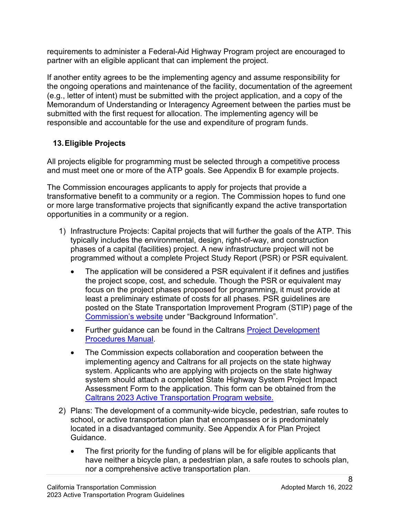requirements to administer a Federal-Aid Highway Program project are encouraged to partner with an eligible applicant that can implement the project.

 (e.g., letter of intent) must be submitted with the project application, and a copy of the submitted with the first request for allocation. The implementing agency will be responsible and accountable for the use and expenditure of program funds. If another entity agrees to be the implementing agency and assume responsibility for the ongoing operations and maintenance of the facility, documentation of the agreement Memorandum of Understanding or Interagency Agreement between the parties must be

# **13.Eligible Projects**

All projects eligible for programming must be selected through a competitive process and must meet one or more of the ATP goals. See Appendix B for example projects.

 transformative benefit to a community or a region. The Commission hopes to fund one The Commission encourages applicants to apply for projects that provide a or more large transformative projects that significantly expand the active transportation opportunities in a community or a region.

- programmed without a complete Project Study Report (PSR) or PSR equivalent. 1) Infrastructure Projects: Capital projects that will further the goals of the ATP. This typically includes the environmental, design, right-of-way, and construction phases of a capital (facilities) project. A new infrastructure project will not be
	- • The application will be considered a PSR equivalent if it defines and justifies the project scope, cost, and schedule. Though the PSR or equivalent may least a preliminary estimate of costs for all phases. PSR guidelines are focus on the project phases proposed for programming, it must provide at posted on the State Transportation Improvement Program (STIP) page of the [Commission's website](https://catc.ca.gov/programs/state-transportation-improvement-program) under "Background Information".
	- [Procedures Manual.](http://www.dot.ca.gov/design/manuals/pdpm.html) • Further guidance can be found in the Caltrans **Project Development**
	- The Commission expects collaboration and cooperation between the implementing agency and Caltrans for all projects on the state highway system. Applicants who are applying with projects on the state highway system should attach a completed State Highway System Project Impact Assessment Form to the application. This form can be obtained from the [Caltrans 2023 Active Transportation Program website.](https://dot.ca.gov/programs/local-assistance/fed-and-state-programs/active-transportation-program/cycle6)
- located in a disadvantaged community. See Appendix A for Plan Project 2) Plans: The development of a community-wide bicycle, pedestrian, safe routes to school, or active transportation plan that encompasses or is predominately Guidance.
	- The first priority for the funding of plans will be for eligible applicants that have neither a bicycle plan, a pedestrian plan, a safe routes to schools plan, nor a comprehensive active transportation plan.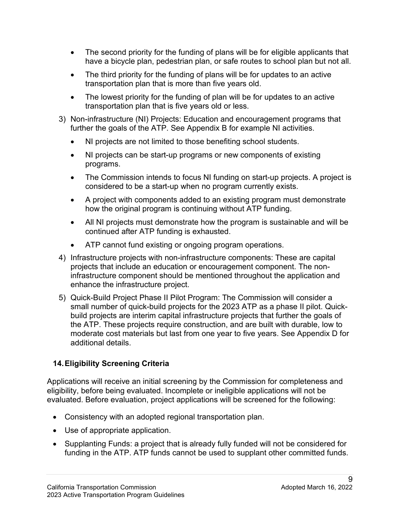- The second priority for the funding of plans will be for eligible applicants that have a bicycle plan, pedestrian plan, or safe routes to school plan but not all.
- The third priority for the funding of plans will be for updates to an active transportation plan that is more than five years old.
- The lowest priority for the funding of plan will be for updates to an active transportation plan that is five years old or less.
- further the goals of the ATP. See Appendix B for example NI activities. 3) Non-infrastructure (NI) Projects: Education and encouragement programs that
	- $\bullet$ • NI projects are not limited to those benefiting school students.
	- • NI projects can be start-up programs or new components of existing programs.
	- The Commission intends to focus NI funding on start-up projects. A project is considered to be a start-up when no program currently exists.
	- A project with components added to an existing program must demonstrate how the original program is continuing without ATP funding.
	- All NI projects must demonstrate how the program is sustainable and will be continued after ATP funding is exhausted.
	- ATP cannot fund existing or ongoing program operations.
- projects that include an education or encouragement component. The non-4) Infrastructure projects with non-infrastructure components: These are capital infrastructure component should be mentioned throughout the application and enhance the infrastructure project.
- 5) Quick-Build Project Phase II Pilot Program: The Commission will consider a small number of quick-build projects for the 2023 ATP as a phase II pilot. Quickbuild projects are interim capital infrastructure projects that further the goals of the ATP. These projects require construction, and are built with durable, low to moderate cost materials but last from one year to five years. See Appendix D for additional details.

# **14.Eligibility Screening Criteria**

 Applications will receive an initial screening by the Commission for completeness and eligibility, before being evaluated. Incomplete or ineligible applications will not be evaluated. Before evaluation, project applications will be screened for the following:

- Consistency with an adopted regional transportation plan.
- Use of appropriate application.
- Supplanting Funds: a project that is already fully funded will not be considered for funding in the ATP. ATP funds cannot be used to supplant other committed funds.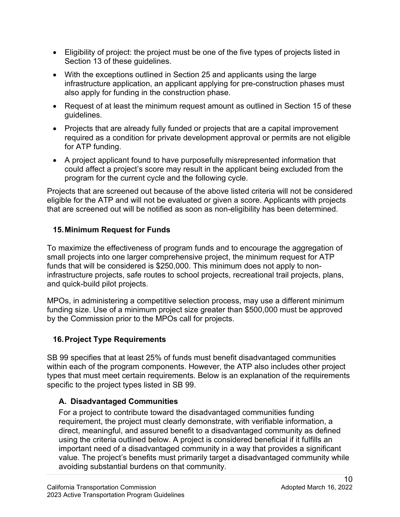- Eligibility of project: the project must be one of the five types of projects listed in Section 13 of these guidelines.
- With the exceptions outlined in Section 25 and applicants using the large infrastructure application, an applicant applying for pre-construction phases must also apply for funding in the construction phase.
- • Request of at least the minimum request amount as outlined in Section 15 of these guidelines.
- required as a condition for private development approval or permits are not eligible • Projects that are already fully funded or projects that are a capital improvement for ATP funding.
- A project applicant found to have purposefully misrepresented information that could affect a project's score may result in the applicant being excluded from the program for the current cycle and the following cycle.

 eligible for the ATP and will not be evaluated or given a score. Applicants with projects Projects that are screened out because of the above listed criteria will not be considered that are screened out will be notified as soon as non-eligibility has been determined.

### **15.Minimum Request for Funds**

 funds that will be considered is \$250,000. This minimum does not apply to non-To maximize the effectiveness of program funds and to encourage the aggregation of small projects into one larger comprehensive project, the minimum request for ATP infrastructure projects, safe routes to school projects, recreational trail projects, plans, and quick-build pilot projects.

 MPOs, in administering a competitive selection process, may use a different minimum funding size. Use of a minimum project size greater than \$500,000 must be approved by the Commission prior to the MPOs call for projects.

### **16.Project Type Requirements**

 SB 99 specifies that at least 25% of funds must benefit disadvantaged communities within each of the program components. However, the ATP also includes other project types that must meet certain requirements. Below is an explanation of the requirements specific to the project types listed in SB 99.

# **A. Disadvantaged Communities**

 using the criteria outlined below. A project is considered beneficial if it fulfills an value. The project's benefits must primarily target a disadvantaged community while For a project to contribute toward the disadvantaged communities funding requirement, the project must clearly demonstrate, with verifiable information, a direct, meaningful, and assured benefit to a disadvantaged community as defined important need of a disadvantaged community in a way that provides a significant avoiding substantial burdens on that community.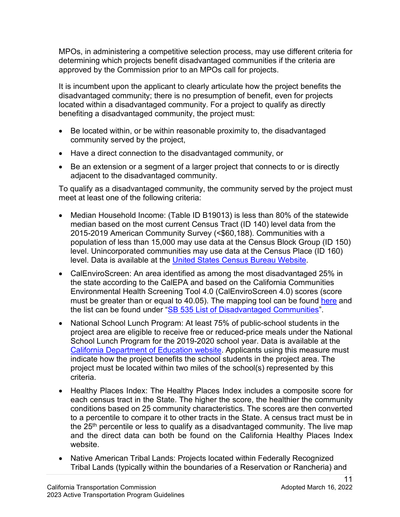MPOs, in administering a competitive selection process, may use different criteria for determining which projects benefit disadvantaged communities if the criteria are approved by the Commission prior to an MPOs call for projects.

 It is incumbent upon the applicant to clearly articulate how the project benefits the disadvantaged community; there is no presumption of benefit, even for projects located within a disadvantaged community. For a project to qualify as directly benefiting a disadvantaged community, the project must:

- • Be located within, or be within reasonable proximity to, the disadvantaged community served by the project,
- Have a direct connection to the disadvantaged community, or
- • Be an extension or a segment of a larger project that connects to or is directly adjacent to the disadvantaged community.

 To qualify as a disadvantaged community, the community served by the project must meet at least one of the following criteria:

- median based on the most current Census Tract (ID 140) level data from the 2015-2019 American Community Survey (<\$60,188). Communities with a population of less than 15,000 may use data at the Census Block Group (ID 150) level. Unincorporated communities may use data at the Census Place (ID 160) • Median Household Income: (Table ID B19013) is less than 80% of the statewide level. Data is available at the [United States Census Bureau Website.](https://data.census.gov/cedsci/?intcmp=aff_cedsci_banner)
- Environmental Health Screening Tool 4.0 (CalEnviroScreen 4.0) scores (score must be greater than or equal to 40.05). The mapping tool can be found <u>here</u> and • CalEnviroScreen: An area identified as among the most disadvantaged 25% in the state according to the CalEPA and based on the California Communities the list can be found under ["SB 535 List of Disadvantaged Communities"](http://www.calepa.ca.gov/EnvJustice/GHGInvest/).
- project must be located within two miles of the school(s) represented by this criteria. • National School Lunch Program: At least 75% of public-school students in the project area are eligible to receive free or reduced-price meals under the National School Lunch Program for the 2019-2020 school year. Data is available at the [California Department of Education website.](http://www.cde.ca.gov/ds/sd/sd/filessp.asp) Applicants using this measure must indicate how the project benefits the school students in the project area. The
- to a percentile to compare it to other tracts in the State. A census tract must be in • Healthy Places Index: The Healthy Places Index includes a composite score for each census tract in the State. The higher the score, the healthier the community conditions based on 25 community characteristics. The scores are then converted the  $25<sup>th</sup>$  percentile or less to qualify as a disadvantaged community. The live map and the direct data can both be found on the California Healthy Places Index website.
- Native American Tribal Lands: Projects located within Federally Recognized Tribal Lands (typically within the boundaries of a Reservation or Rancheria) and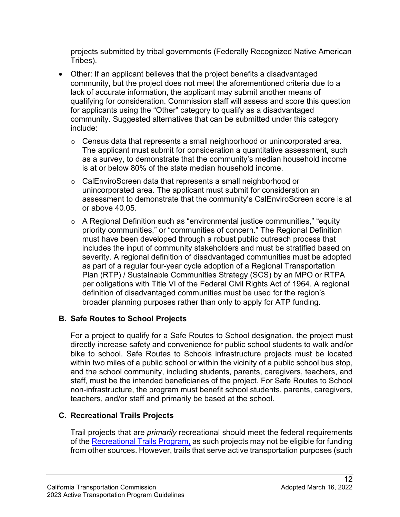projects submitted by tribal governments (Federally Recognized Native American Tribes).

- • Other: If an applicant believes that the project benefits a disadvantaged lack of accurate information, the applicant may submit another means of community. Suggested alternatives that can be submitted under this category community, but the project does not meet the aforementioned criteria due to a qualifying for consideration. Commission staff will assess and score this question for applicants using the "Other" category to qualify as a disadvantaged include:
	- $\circ$  Census data that represents a small neighborhood or unincorporated area. The applicant must submit for consideration a quantitative assessment, such as a survey, to demonstrate that the community's median household income is at or below 80% of the state median household income.
	- o CalEnviroScreen data that represents a small neighborhood or unincorporated area. The applicant must submit for consideration an assessment to demonstrate that the community's CalEnviroScreen score is at or above 40.05.
	- Plan (RTP) / Sustainable Communities Strategy (SCS) by an MPO or RTPA per obligations with Title VI of the Federal Civil Rights Act of 1964. A regional broader planning purposes rather than only to apply for ATP funding.  $\circ$  A Regional Definition such as "environmental justice communities," "equity priority communities," or "communities of concern." The Regional Definition must have been developed through a robust public outreach process that includes the input of community stakeholders and must be stratified based on severity. A regional definition of disadvantaged communities must be adopted as part of a regular four-year cycle adoption of a Regional Transportation definition of disadvantaged communities must be used for the region's

### **B. Safe Routes to School Projects**

 For a project to qualify for a Safe Routes to School designation, the project must staff, must be the intended beneficiaries of the project. For Safe Routes to School directly increase safety and convenience for public school students to walk and/or bike to school. Safe Routes to Schools infrastructure projects must be located within two miles of a public school or within the vicinity of a public school bus stop, and the school community, including students, parents, caregivers, teachers, and non-infrastructure, the program must benefit school students, parents, caregivers, teachers, and/or staff and primarily be based at the school.

# **C. Recreational Trails Projects**

Trail projects that are *primarily* recreational should meet the federal requirements of the [Recreational Trails Program,](http://www.fhwa.dot.gov/environment/recreational_trails/) as such projects may not be eligible for funding from other sources. However, trails that serve active transportation purposes (such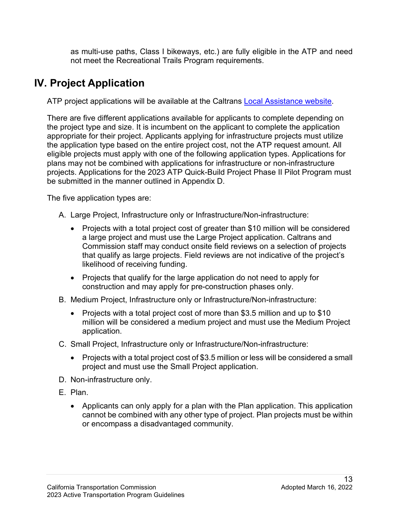as multi-use paths, Class I bikeways, etc.) are fully eligible in the ATP and need not meet the Recreational Trails Program requirements.

# **IV. Project Application**

ATP project applications will be available at the Caltrans Local Assistance website.

ATP project applications will be available at the Caltrans <u>Local Assistance website</u>.<br>There are five different applications available for applicants to complete depending on appropriate for their project. Applicants applying for infrastructure projects must utilize eligible projects must apply with one of the following application types. Applications for plans may not be combined with applications for infrastructure or non-infrastructure projects. Applications for the 2023 ATP Quick-Build Project Phase II Pilot Program must be submitted in the manner outlined in Appendix D.<br>The five application types are: the project type and size. It is incumbent on the applicant to complete the application the application type based on the entire project cost, not the ATP request amount. All

- A. Large Project, Infrastructure only or Infrastructure/Non-infrastructure:
	- • Projects with a total project cost of greater than \$10 million will be considered Commission staff may conduct onsite field reviews on a selection of projects likelihood of receiving funding. a large project and must use the Large Project application. Caltrans and that qualify as large projects. Field reviews are not indicative of the project's
	- • Projects that qualify for the large application do not need to apply for construction and may apply for pre-construction phases only.
- B. Medium Project, Infrastructure only or Infrastructure/Non-infrastructure:
	- million will be considered a medium project and must use the Medium Project • Projects with a total project cost of more than \$3.5 million and up to \$10 application.
- C. Small Project, Infrastructure only or Infrastructure/Non-infrastructure:
	- • Projects with a total project cost of \$3.5 million or less will be considered a small project and must use the Small Project application.
- D. Non-infrastructure only.
- E. Plan.
	- • Applicants can only apply for a plan with the Plan application. This application cannot be combined with any other type of project. Plan projects must be within or encompass a disadvantaged community.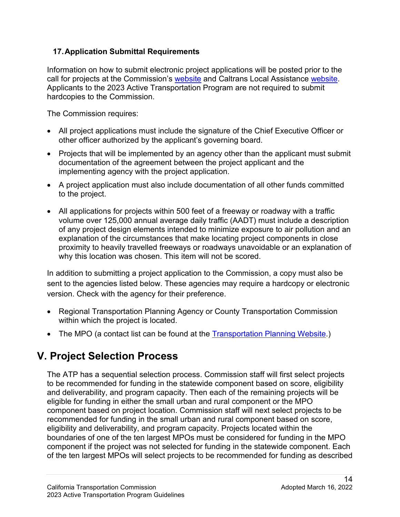### **17.Application Submittal Requirements**

Information on how to submit electronic project applications will be posted prior to the call for projects at the Commission's [website](http://catc.ca.gov/programs/atp/) and Caltrans Local Assistance [website.](https://dot.ca.gov/programs/local-assistance/fed-and-state-programs/active-transportation-program/cycle5) Applicants to the 2023 Active Transportation Program are not required to submit

hardcopies to the Commission.<br>The Commission requires:

- • All project applications must include the signature of the Chief Executive Officer or other officer authorized by the applicant's governing board.
- Projects that will be implemented by an agency other than the applicant must submit documentation of the agreement between the project applicant and the implementing agency with the project application.
- A project application must also include documentation of all other funds committed to the project.
- All applications for projects within 500 feet of a freeway or roadway with a traffic volume over 125,000 annual average daily traffic (AADT) must include a description of any project design elements intended to minimize exposure to air pollution and an explanation of the circumstances that make locating project components in close proximity to heavily travelled freeways or roadways unavoidable or an explanation of why this location was chosen. This item will not be scored.

 In addition to submitting a project application to the Commission, a copy must also be sent to the agencies listed below. These agencies may require a hardcopy or electronic version. Check with the agency for their preference.

- • Regional Transportation Planning Agency or County Transportation Commission within which the project is located.
- The MPO (a contact list can be found at the [Transportation Planning Website.](http://www.dot.ca.gov/hq/tpp/offices/orip/))

# **V. Project Selection Process**

 to be recommended for funding in the statewide component based on score, eligibility recommended for funding in the small urban and rural component based on score, eligibility and deliverability, and program capacity. Projects located within the The ATP has a sequential selection process. Commission staff will first select projects and deliverability, and program capacity. Then each of the remaining projects will be eligible for funding in either the small urban and rural component or the MPO component based on project location. Commission staff will next select projects to be boundaries of one of the ten largest MPOs must be considered for funding in the MPO component if the project was not selected for funding in the statewide component. Each of the ten largest MPOs will select projects to be recommended for funding as described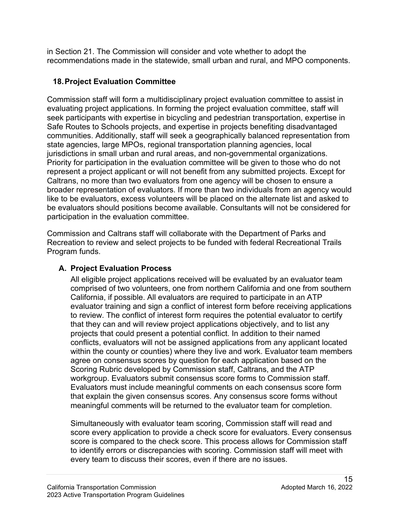in Section 21. The Commission will consider and vote whether to adopt the recommendations made in the statewide, small urban and rural, and MPO components.

### **18.Project Evaluation Committee**

 represent a project applicant or will not benefit from any submitted projects. Except for Commission staff will form a multidisciplinary project evaluation committee to assist in evaluating project applications. In forming the project evaluation committee, staff will seek participants with expertise in bicycling and pedestrian transportation, expertise in Safe Routes to Schools projects, and expertise in projects benefiting disadvantaged communities. Additionally, staff will seek a geographically balanced representation from state agencies, large MPOs, regional transportation planning agencies, local jurisdictions in small urban and rural areas, and non-governmental organizations. Priority for participation in the evaluation committee will be given to those who do not Caltrans, no more than two evaluators from one agency will be chosen to ensure a broader representation of evaluators. If more than two individuals from an agency would like to be evaluators, excess volunteers will be placed on the alternate list and asked to be evaluators should positions become available. Consultants will not be considered for participation in the evaluation committee.

 Commission and Caltrans staff will collaborate with the Department of Parks and Program funds. Recreation to review and select projects to be funded with federal Recreational Trails

# **A. Project Evaluation Process**

 that they can and will review project applications objectively, and to list any conflicts, evaluators will not be assigned applications from any applicant located within the county or counties) where they live and work. Evaluator team members All eligible project applications received will be evaluated by an evaluator team comprised of two volunteers, one from northern California and one from southern California, if possible. All evaluators are required to participate in an ATP evaluator training and sign a conflict of interest form before receiving applications to review. The conflict of interest form requires the potential evaluator to certify projects that could present a potential conflict. In addition to their named agree on consensus scores by question for each application based on the Scoring Rubric developed by Commission staff, Caltrans, and the ATP workgroup. Evaluators submit consensus score forms to Commission staff. Evaluators must include meaningful comments on each consensus score form that explain the given consensus scores. Any consensus score forms without meaningful comments will be returned to the evaluator team for completion.

 score every application to provide a check score for evaluators. Every consensus score is compared to the check score. This process allows for Commission staff Simultaneously with evaluator team scoring, Commission staff will read and to identify errors or discrepancies with scoring. Commission staff will meet with every team to discuss their scores, even if there are no issues.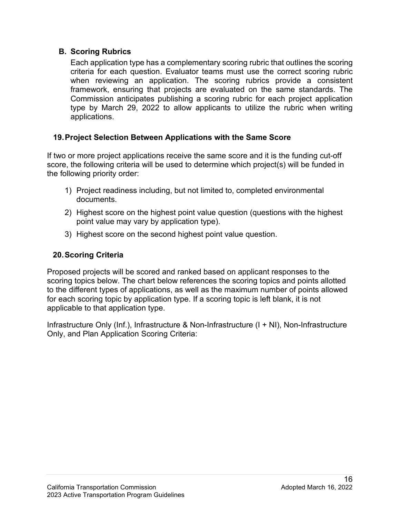#### **B. Scoring Rubrics**

 Each application type has a complementary scoring rubric that outlines the scoring criteria for each question. Evaluator teams must use the correct scoring rubric Commission anticipates publishing a scoring rubric for each project application type by March 29, 2022 to allow applicants to utilize the rubric when writing when reviewing an application. The scoring rubrics provide a consistent framework, ensuring that projects are evaluated on the same standards. The applications.

### **19.Project Selection Between Applications with the Same Score**

If two or more project applications receive the same score and it is the funding cut-off score, the following criteria will be used to determine which project(s) will be funded in the following priority order:

- documents. 1) Project readiness including, but not limited to, completed environmental
- 2) Highest score on the highest point value question (questions with the highest point value may vary by application type).
- 3) Highest score on the second highest point value question.

### **20.Scoring Criteria**

 for each scoring topic by application type. If a scoring topic is left blank, it is not Proposed projects will be scored and ranked based on applicant responses to the scoring topics below. The chart below references the scoring topics and points allotted to the different types of applications, as well as the maximum number of points allowed applicable to that application type.

Infrastructure Only (Inf.), Infrastructure & Non-Infrastructure (I + NI), Non-Infrastructure Only, and Plan Application Scoring Criteria: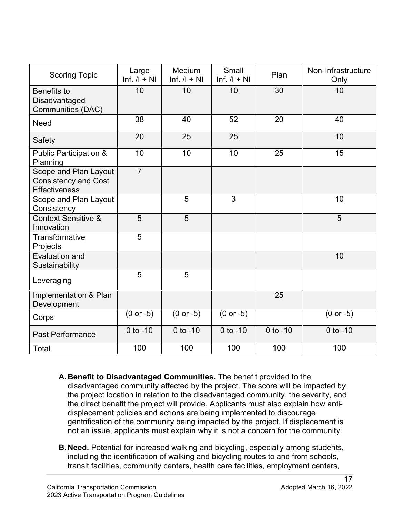| <b>Scoring Topic</b>                                                         | Large<br>$\ln f$ . / $\ln$ + NI | <b>Medium</b><br>$lnf$ . $/l + NI$ | Small<br>$lnf$ . $/l + NI$ | Plan         | Non-Infrastructure<br>Only |
|------------------------------------------------------------------------------|---------------------------------|------------------------------------|----------------------------|--------------|----------------------------|
| <b>Benefits to</b><br>Disadvantaged<br>Communities (DAC)                     | 10                              | 10                                 | 10                         | 30           | 10                         |
| <b>Need</b>                                                                  | 38                              | 40                                 | 52                         | 20           | 40                         |
| Safety                                                                       | 20                              | 25                                 | 25                         |              | 10                         |
| <b>Public Participation &amp;</b><br>Planning                                | 10                              | 10                                 | 10                         | 25           | 15                         |
| Scope and Plan Layout<br><b>Consistency and Cost</b><br><b>Effectiveness</b> | $\overline{7}$                  |                                    |                            |              |                            |
| Scope and Plan Layout<br>Consistency                                         |                                 | 5                                  | 3                          |              | 10                         |
| <b>Context Sensitive &amp;</b><br>Innovation                                 | 5                               | 5                                  |                            |              | 5                          |
| Transformative<br>Projects                                                   | 5                               |                                    |                            |              |                            |
| Evaluation and<br>Sustainability                                             |                                 |                                    |                            |              | 10                         |
| Leveraging                                                                   | 5                               | 5                                  |                            |              |                            |
| Implementation & Plan<br>Development                                         |                                 |                                    |                            | 25           |                            |
| Corps                                                                        | $(0 or -5)$                     | $(0 or -5)$                        | $(0 or -5)$                |              | $(0 or -5)$                |
| <b>Past Performance</b>                                                      | 0 to $-10$                      | $0$ to $-10$                       | $0$ to $-10$               | $0$ to $-10$ | $0$ to $-10$               |
| Total                                                                        | 100                             | 100                                | 100                        | 100          | 100                        |

- not an issue, applicants must explain why it is not a concern for the community. **A. Benefit to Disadvantaged Communities.** The benefit provided to the disadvantaged community affected by the project. The score will be impacted by the project location in relation to the disadvantaged community, the severity, and the direct benefit the project will provide. Applicants must also explain how antidisplacement policies and actions are being implemented to discourage gentrification of the community being impacted by the project. If displacement is
- **B.Need.** Potential for increased walking and bicycling, especially among students, including the identification of walking and bicycling routes to and from schools, transit facilities, community centers, health care facilities, employment centers,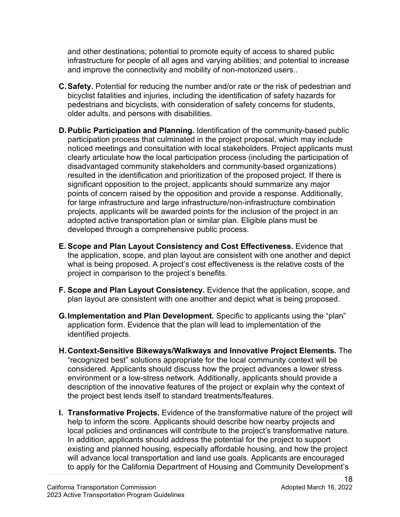infrastructure for people of all ages and varying abilities; and potential to increase and other destinations; potential to promote equity of access to shared public and improve the connectivity and mobility of non-motorized users..

- bicyclist fatalities and injuries, including the identification of safety hazards for pedestrians and bicyclists, with consideration of safety concerns for students, older adults, and persons with disabilities. **C.Safety.** Potential for reducing the number and/or rate or the risk of pedestrian and
- noticed meetings and consultation with local stakeholders. Project applicants must **D.Public Participation and Planning.** Identification of the community-based public participation process that culminated in the project proposal, which may include clearly articulate how the local participation process (including the participation of disadvantaged community stakeholders and community-based organizations) resulted in the identification and prioritization of the proposed project. If there is significant opposition to the project, applicants should summarize any major points of concern raised by the opposition and provide a response. Additionally, for large infrastructure and large infrastructure/non-infrastructure combination projects, applicants will be awarded points for the inclusion of the project in an adopted active transportation plan or similar plan. Eligible plans must be developed through a comprehensive public process.
- the application, scope, and plan layout are consistent with one another and depict project in comparison to the project's benefits. **E. Scope and Plan Layout Consistency and Cost Effectiveness.** Evidence that what is being proposed. A project's cost effectiveness is the relative costs of the
- plan layout are consistent with one another and depict what is being proposed. **F. Scope and Plan Layout Consistency.** Evidence that the application, scope, and
- **G.Implementation and Plan Development.** Specific to applicants using the "plan" application form. Evidence that the plan will lead to implementation of the identified projects.
- description of the innovative features of the project or explain why the context of **H.Context-Sensitive Bikeways/Walkways and Innovative Project Elements.** The "recognized best" solutions appropriate for the local community context will be considered. Applicants should discuss how the project advances a lower stress environment or a low-stress network. Additionally, applicants should provide a the project best lends itself to standard treatments/features.
- In addition, applicants should address the potential for the project to support **I. Transformative Projects.** Evidence of the transformative nature of the project will help to inform the score. Applicants should describe how nearby projects and local policies and ordinances will contribute to the project's transformative nature. existing and planned housing, especially affordable housing, and how the project will advance local transportation and land use goals. Applicants are encouraged to apply for the California Department of Housing and Community Development's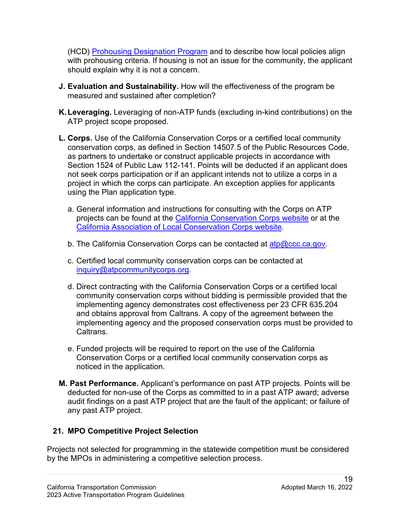with prohousing criteria. If housing is not an issue for the community, the applicant (HCD) [Prohousing Designation Program](https://www.hcd.ca.gov/community-development/prohousing/index.shtml) and to describe how local policies align should explain why it is not a concern.

- **J. Evaluation and Sustainability.** How will the effectiveness of the program be measured and sustained after completion?
- **K.Leveraging.** Leveraging of non-ATP funds (excluding in-kind contributions) on the ATP project scope proposed.
- Section 1524 of Public Law 112-141. Points will be deducted if an applicant does project in which the corps can participate. An exception applies for applicants **L. Corps.** Use of the California Conservation Corps or a certified local community conservation corps, as defined in Section 14507.5 of the Public Resources Code, as partners to undertake or construct applicable projects in accordance with not seek corps participation or if an applicant intends not to utilize a corps in a using the Plan application type.
	- a. General information and instructions for consulting with the Corps on ATP projects can be found at the [California Conservation Corps website](https://ccc.ca.gov/what-we-do/funding-opportunities/active-transportation-program/) or at the [California Association of Local Conservation Corps website.](https://mylocalcorps.org/active-transportation-program/)
	- b. The California Conservation Corps can be contacted at <u>atp@ccc.ca.gov</u>.
	- c. Certified local community conservation corps can be contacted at [inquiry@atpcommunitycorps.org.](mailto:inquiry@atpcommunitycorps.org)
	- implementing agency demonstrates cost effectiveness per 23 CFR 635.204 d. Direct contracting with the California Conservation Corps or a certified local community conservation corps without bidding is permissible provided that the and obtains approval from Caltrans. A copy of the agreement between the implementing agency and the proposed conservation corps must be provided to **Caltrans**
	- e. Funded projects will be required to report on the use of the California Conservation Corps or a certified local community conservation corps as noticed in the application.
- **M. Past Performance.** Applicant's performance on past ATP projects. Points will be deducted for non-use of the Corps as committed to in a past ATP award; adverse audit findings on a past ATP project that are the fault of the applicant; or failure of any past ATP project.

### **21. MPO Competitive Project Selection**

 Projects not selected for programming in the statewide competition must be considered by the MPOs in administering a competitive selection process.<br>California Transportation Commission Adopted March 16, 2022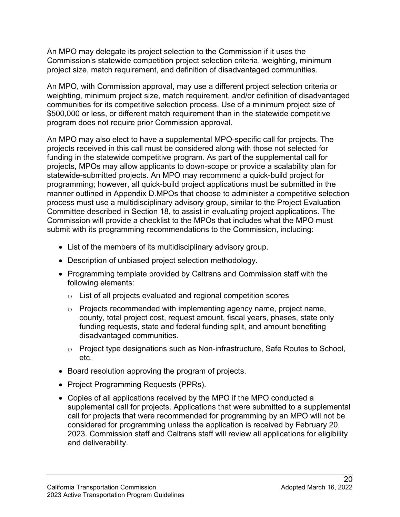Commission's statewide competition project selection criteria, weighting, minimum An MPO may delegate its project selection to the Commission if it uses the project size, match requirement, and definition of disadvantaged communities.

 \$500,000 or less, or different match requirement than in the statewide competitive program does not require prior Commission approval. An MPO, with Commission approval, may use a different project selection criteria or weighting, minimum project size, match requirement, and/or definition of disadvantaged communities for its competitive selection process. Use of a minimum project size of

 Committee described in Section 18, to assist in evaluating project applications. The Commission will provide a checklist to the MPOs that includes what the MPO must submit with its programming recommendations to the Commission, including: An MPO may also elect to have a supplemental MPO-specific call for projects. The projects received in this call must be considered along with those not selected for funding in the statewide competitive program. As part of the supplemental call for projects, MPOs may allow applicants to down-scope or provide a scalability plan for statewide-submitted projects. An MPO may recommend a quick-build project for programming; however, all quick-build project applications must be submitted in the manner outlined in Appendix D.MPOs that choose to administer a competitive selection process must use a multidisciplinary advisory group, similar to the Project Evaluation

- List of the members of its multidisciplinary advisory group.
- Description of unbiased project selection methodology.
- Programming template provided by Caltrans and Commission staff with the following elements:
	- o List of all projects evaluated and regional competition scores
	- disadvantaged communities. o Projects recommended with implementing agency name, project name, county, total project cost, request amount, fiscal years, phases, state only funding requests, state and federal funding split, and amount benefiting
	- $\circ$  Project type designations such as Non-infrastructure, Safe Routes to School, etc.
- Board resolution approving the program of projects.
- Project Programming Requests (PPRs).
- Copies of all applications received by the MPO if the MPO conducted a supplemental call for projects. Applications that were submitted to a supplemental call for projects that were recommended for programming by an MPO will not be considered for programming unless the application is received by February 20, 2023. Commission staff and Caltrans staff will review all applications for eligibility and deliverability.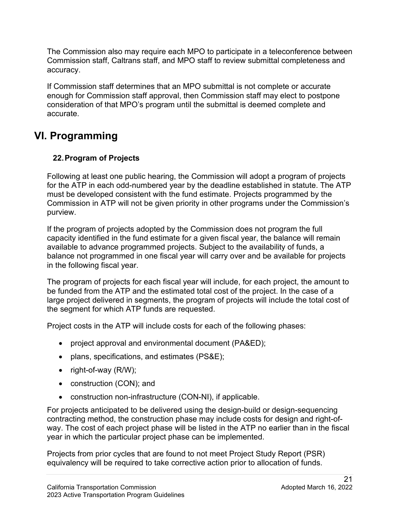Commission staff, Caltrans staff, and MPO staff to review submittal completeness and accuracy. The Commission also may require each MPO to participate in a teleconference between

 enough for Commission staff approval, then Commission staff may elect to postpone If Commission staff determines that an MPO submittal is not complete or accurate consideration of that MPO's program until the submittal is deemed complete and accurate.

# **VI. Programming**

# **22.Program of Projects**

 for the ATP in each odd-numbered year by the deadline established in statute. The ATP must be developed consistent with the fund estimate. Projects programmed by the Following at least one public hearing, the Commission will adopt a program of projects Commission in ATP will not be given priority in other programs under the Commission's purview.

 If the program of projects adopted by the Commission does not program the full capacity identified in the fund estimate for a given fiscal year, the balance will remain available to advance programmed projects. Subject to the availability of funds, a balance not programmed in one fiscal year will carry over and be available for projects in the following fiscal year.

 large project delivered in segments, the program of projects will include the total cost of The program of projects for each fiscal year will include, for each project, the amount to be funded from the ATP and the estimated total cost of the project. In the case of a the segment for which ATP funds are requested.

Project costs in the ATP will include costs for each of the following phases:

- project approval and environmental document (PA&ED);
- plans, specifications, and estimates (PS&E);
- right-of-way (R/W);
- construction (CON); and
- construction non-infrastructure (CON-NI), if applicable.

 way. The cost of each project phase will be listed in the ATP no earlier than in the fiscal year in which the particular project phase can be implemented. For projects anticipated to be delivered using the design-build or design-sequencing contracting method, the construction phase may include costs for design and right-of-

year in which the particular project phase can be implemented.<br>Projects from prior cycles that are found to not meet Project Study Report (PSR) equivalency will be required to take corrective action prior to allocation of funds.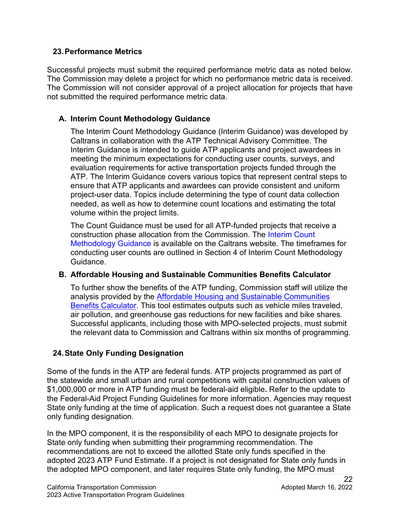#### **23.Performance Metrics**

 Successful projects must submit the required performance metric data as noted below. The Commission will not consider approval of a project allocation for projects that have The Commission may delete a project for which no performance metric data is received. not submitted the required performance metric data.

### **A. Interim Count Methodology Guidance**

 Interim Guidance is intended to guide ATP applicants and project awardees in The Interim Count Methodology Guidance (Interim Guidance) was developed by Caltrans in collaboration with the ATP Technical Advisory Committee. The meeting the minimum expectations for conducting user counts, surveys, and evaluation requirements for active transportation projects funded through the ATP. The Interim Guidance covers various topics that represent central steps to ensure that ATP applicants and awardees can provide consistent and uniform project-user data. Topics include determining the type of count data collection needed, as well as how to determine count locations and estimating the total volume within the project limits.

 The Count Guidance must be used for all ATP-funded projects that receive a construction phase allocation from the Commission. The [Interim Count](https://dot.ca.gov/programs/local-assistance/fed-and-state-programs/active-transportation-program/general-and-technical-information)  [Methodology Guidance](https://dot.ca.gov/programs/local-assistance/fed-and-state-programs/active-transportation-program/general-and-technical-information) is available on the Caltrans website. The timeframes for conducting user counts are outlined in Section 4 of Interim Count Methodology Guidance.

### **B. Affordable Housing and Sustainable Communities Benefits Calculator**

 air pollution, and greenhouse gas reductions for new facilities and bike shares. To further show the benefits of the ATP funding, Commission staff will utilize the analysis provided by the [Affordable Housing and Sustainable Communities](https://ww2.arb.ca.gov/sites/default/files/auction-proceeds/swrcb_sadw_finalcalculator_052821.xlsx)  [Benefits Calculator.](https://ww2.arb.ca.gov/sites/default/files/auction-proceeds/swrcb_sadw_finalcalculator_052821.xlsx) This tool estimates outputs such as vehicle miles traveled, Successful applicants, including those with MPO-selected projects, must submit the relevant data to Commission and Caltrans within six months of programming.

### **24.State Only Funding Designation**

 the Federal-Aid Project Funding Guidelines for more information. Agencies may request State only funding at the time of application. Such a request does not guarantee a State Some of the funds in the ATP are federal funds. ATP projects programmed as part of the statewide and small urban and rural competitions with capital construction values of \$1,000,000 or more in ATP funding must be federal-aid eligible**.** Refer to the update to only funding designation.

 recommendations are not to exceed the allotted State only funds specified in the adopted 2023 ATP Fund Estimate. If a project is not designated for State only funds in In the MPO component, it is the responsibility of each MPO to designate projects for State only funding when submitting their programming recommendation. The the adopted MPO component, and later requires State only funding, the MPO must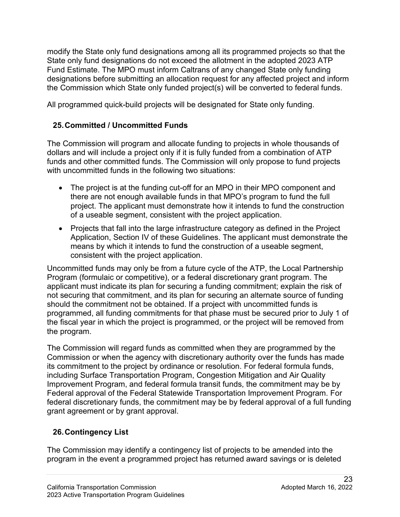designations before submitting an allocation request for any affected project and inform the Commission which State only funded project(s) will be converted to federal funds. modify the State only fund designations among all its programmed projects so that the State only fund designations do not exceed the allotment in the adopted 2023 ATP Fund Estimate. The MPO must inform Caltrans of any changed State only funding

All programmed quick-build projects will be designated for State only funding.

# **25.Committed / Uncommitted Funds**

 The Commission will program and allocate funding to projects in whole thousands of dollars and will include a project only if it is fully funded from a combination of ATP funds and other committed funds. The Commission will only propose to fund projects with uncommitted funds in the following two situations:

- The project is at the funding cut-off for an MPO in their MPO component and there are not enough available funds in that MPO's program to fund the full project. The applicant must demonstrate how it intends to fund the construction of a useable segment, consistent with the project application.
- Application, Section IV of these Guidelines. The applicant must demonstrate the • Projects that fall into the large infrastructure category as defined in the Project means by which it intends to fund the construction of a useable segment, consistent with the project application.

 not securing that commitment, and its plan for securing an alternate source of funding Uncommitted funds may only be from a future cycle of the ATP, the Local Partnership Program (formulaic or competitive), or a federal discretionary grant program. The applicant must indicate its plan for securing a funding commitment; explain the risk of should the commitment not be obtained. If a project with uncommitted funds is programmed, all funding commitments for that phase must be secured prior to July 1 of the fiscal year in which the project is programmed, or the project will be removed from the program.

 Commission or when the agency with discretionary authority over the funds has made Improvement Program, and federal formula transit funds, the commitment may be by federal discretionary funds, the commitment may be by federal approval of a full funding The Commission will regard funds as committed when they are programmed by the its commitment to the project by ordinance or resolution. For federal formula funds, including Surface Transportation Program, Congestion Mitigation and Air Quality Federal approval of the Federal Statewide Transportation Improvement Program. For grant agreement or by grant approval.

# **26.Contingency List**

The Commission may identify a contingency list of projects to be amended into the program in the event a programmed project has returned award savings or is deleted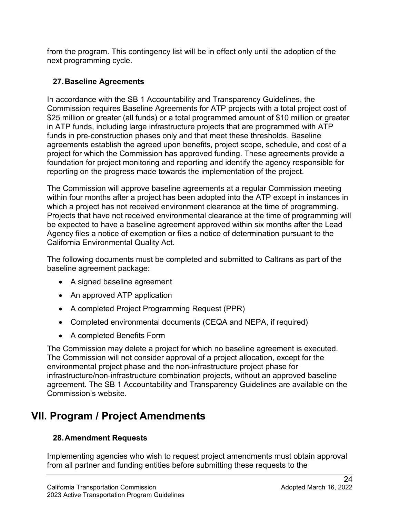from the program. This contingency list will be in effect only until the adoption of the next programming cycle.

### **27.Baseline Agreements**

 Commission requires Baseline Agreements for ATP projects with a total project cost of \$25 million or greater (all funds) or a total programmed amount of \$10 million or greater funds in pre-construction phases only and that meet these thresholds. Baseline agreements establish the agreed upon benefits, project scope, schedule, and cost of a In accordance with the SB 1 Accountability and Transparency Guidelines, the in ATP funds, including large infrastructure projects that are programmed with ATP project for which the Commission has approved funding. These agreements provide a foundation for project monitoring and reporting and identify the agency responsible for reporting on the progress made towards the implementation of the project.

 which a project has not received environment clearance at the time of programming. Projects that have not received environmental clearance at the time of programming will be expected to have a baseline agreement approved within six months after the Lead California Environmental Quality Act. The Commission will approve baseline agreements at a regular Commission meeting within four months after a project has been adopted into the ATP except in instances in Agency files a notice of exemption or files a notice of determination pursuant to the

The following documents must be completed and submitted to Caltrans as part of the baseline agreement package:

- A signed baseline agreement
- An approved ATP application
- A completed Project Programming Request (PPR)
- Completed environmental documents (CEQA and NEPA, if required)
- A completed Benefits Form

 The Commission may delete a project for which no baseline agreement is executed. The Commission will not consider approval of a project allocation, except for the environmental project phase and the non-infrastructure project phase for infrastructure/non-infrastructure combination projects, without an approved baseline agreement. The SB 1 Accountability and Transparency Guidelines are available on the Commission's website.

# **VII. Program / Project Amendments**

# **28.Amendment Requests**

Implementing agencies who wish to request project amendments must obtain approval from all partner and funding entities before submitting these requests to the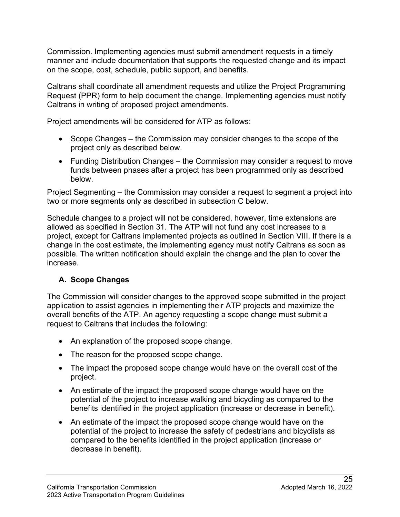Commission. Implementing agencies must submit amendment requests in a timely on the scope, cost, schedule, public support, and benefits. manner and include documentation that supports the requested change and its impact

 Request (PPR) form to help document the change. Implementing agencies must notify Caltrans shall coordinate all amendment requests and utilize the Project Programming Caltrans in writing of proposed project amendments.

Project amendments will be considered for ATP as follows:

- • Scope Changes the Commission may consider changes to the scope of the project only as described below.
- • Funding Distribution Changes the Commission may consider a request to move funds between phases after a project has been programmed only as described below.

 below. Project Segmenting – the Commission may consider a request to segment a project into two or more segments only as described in subsection C below.

 allowed as specified in Section 31. The ATP will not fund any cost increases to a Schedule changes to a project will not be considered, however, time extensions are project, except for Caltrans implemented projects as outlined in Section VIII. If there is a change in the cost estimate, the implementing agency must notify Caltrans as soon as possible. The written notification should explain the change and the plan to cover the increase.

# **A. Scope Changes**

 overall benefits of the ATP. An agency requesting a scope change must submit a request to Caltrans that includes the following: The Commission will consider changes to the approved scope submitted in the project application to assist agencies in implementing their ATP projects and maximize the

- An explanation of the proposed scope change.
- The reason for the proposed scope change.
- The impact the proposed scope change would have on the overall cost of the project.
- An estimate of the impact the proposed scope change would have on the potential of the project to increase walking and bicycling as compared to the benefits identified in the project application (increase or decrease in benefit).
- decrease in benefit). • An estimate of the impact the proposed scope change would have on the potential of the project to increase the safety of pedestrians and bicyclists as compared to the benefits identified in the project application (increase or decrease in benefit).<br>California Transportation Commission Parameters Adopted March 16, 2022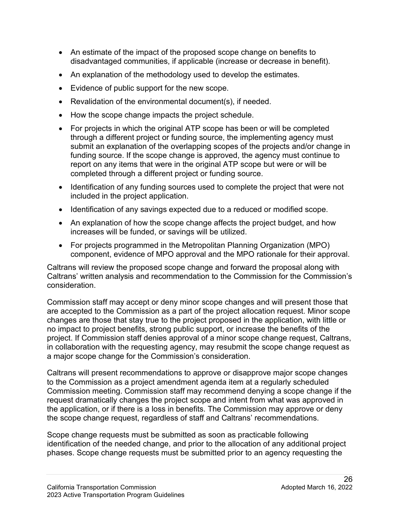- An estimate of the impact of the proposed scope change on benefits to disadvantaged communities, if applicable (increase or decrease in benefit).
- An explanation of the methodology used to develop the estimates.
- Evidence of public support for the new scope.
- Revalidation of the environmental document(s), if needed.
- How the scope change impacts the project schedule.
- For projects in which the original ATP scope has been or will be completed through a different project or funding source, the implementing agency must submit an explanation of the overlapping scopes of the projects and/or change in funding source. If the scope change is approved, the agency must continue to report on any items that were in the original ATP scope but were or will be completed through a different project or funding source.
- Identification of any funding sources used to complete the project that were not included in the project application.
- Identification of any savings expected due to a reduced or modified scope.
- • An explanation of how the scope change affects the project budget, and how increases will be funded, or savings will be utilized.
- component, evidence of MPO approval and the MPO rationale for their approval. • For projects programmed in the Metropolitan Planning Organization (MPO)

Caltrans will review the proposed scope change and forward the proposal along with Caltrans' written analysis and recommendation to the Commission for the Commission's consideration.

 Commission staff may accept or deny minor scope changes and will present those that changes are those that stay true to the project proposed in the application, with little or in collaboration with the requesting agency, may resubmit the scope change request as are accepted to the Commission as a part of the project allocation request. Minor scope no impact to project benefits, strong public support, or increase the benefits of the project. If Commission staff denies approval of a minor scope change request, Caltrans, a major scope change for the Commission's consideration.

 Commission meeting. Commission staff may recommend denying a scope change if the request dramatically changes the project scope and intent from what was approved in the application, or if there is a loss in benefits. The Commission may approve or deny the scope change request, regardless of staff and Caltrans' recommendations. Caltrans will present recommendations to approve or disapprove major scope changes to the Commission as a project amendment agenda item at a regularly scheduled

 identification of the needed change, and prior to the allocation of any additional project phases. Scope change requests must be submitted prior to an agency requesting the Scope change requests must be submitted as soon as practicable following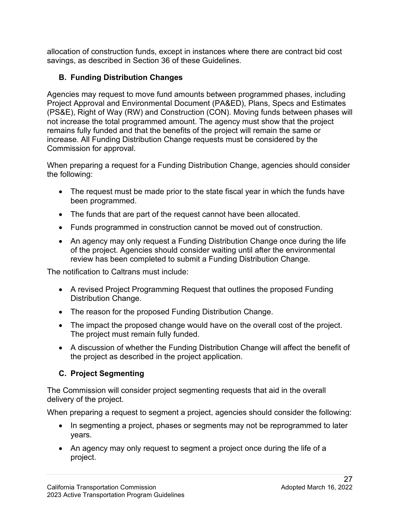savings, as described in Section 36 of these Guidelines. allocation of construction funds, except in instances where there are contract bid cost

# **B. Funding Distribution Changes**

 Agencies may request to move fund amounts between programmed phases, including Project Approval and Environmental Document (PA&ED), Plans, Specs and Estimates (PS&E), Right of Way (RW) and Construction (CON). Moving funds between phases will not increase the total programmed amount. The agency must show that the project remains fully funded and that the benefits of the project will remain the same or increase. All Funding Distribution Change requests must be considered by the Commission for approval.

When preparing a request for a Funding Distribution Change, agencies should consider the following:

- • The request must be made prior to the state fiscal year in which the funds have been programmed.
- The funds that are part of the request cannot have been allocated.
- Funds programmed in construction cannot be moved out of construction.
- An agency may only request a Funding Distribution Change once during the life of the project. Agencies should consider waiting until after the environmental review has been completed to submit a Funding Distribution Change.

The notification to Caltrans must include:

- A revised Project Programming Request that outlines the proposed Funding Distribution Change.
- The reason for the proposed Funding Distribution Change.
- The impact the proposed change would have on the overall cost of the project. The project must remain fully funded.
- A discussion of whether the Funding Distribution Change will affect the benefit of the project as described in the project application.

# **C. Project Segmenting**

 delivery of the project. The Commission will consider project segmenting requests that aid in the overall

When preparing a request to segment a project, agencies should consider the following:

- • In segmenting a project, phases or segments may not be reprogrammed to later years.
- An agency may only request to segment a project once during the life of a project.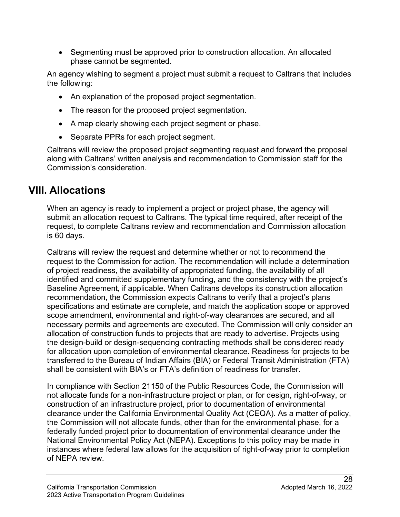• Segmenting must be approved prior to construction allocation. An allocated phase cannot be segmented.

An agency wishing to segment a project must submit a request to Caltrans that includes the following:

- An explanation of the proposed project segmentation.
- The reason for the proposed project segmentation.
- A map clearly showing each project segment or phase.
- Separate PPRs for each project segment.

Caltrans will review the proposed project segmenting request and forward the proposal along with Caltrans' written analysis and recommendation to Commission staff for the Commission's consideration.

# **VIII. Allocations**

When an agency is ready to implement a project or project phase, the agency will submit an allocation request to Caltrans. The typical time required, after receipt of the request, to complete Caltrans review and recommendation and Commission allocation is 60 days.

 of project readiness, the availability of appropriated funding, the availability of all Caltrans will review the request and determine whether or not to recommend the request to the Commission for action. The recommendation will include a determination identified and committed supplementary funding, and the consistency with the project's Baseline Agreement, if applicable. When Caltrans develops its construction allocation recommendation, the Commission expects Caltrans to verify that a project's plans specifications and estimate are complete, and match the application scope or approved scope amendment, environmental and right-of-way clearances are secured, and all necessary permits and agreements are executed. The Commission will only consider an allocation of construction funds to projects that are ready to advertise. Projects using the design-build or design-sequencing contracting methods shall be considered ready for allocation upon completion of environmental clearance. Readiness for projects to be transferred to the Bureau of Indian Affairs (BIA) or Federal Transit Administration (FTA) shall be consistent with BIA's or FTA's definition of readiness for transfer.

 not allocate funds for a non-infrastructure project or plan, or for design, right-of-way, or construction of an infrastructure project, prior to documentation of environmental clearance under the California Environmental Quality Act (CEQA). As a matter of policy, of NEPA review. In compliance with Section 21150 of the Public Resources Code, the Commission will the Commission will not allocate funds, other than for the environmental phase, for a federally funded project prior to documentation of environmental clearance under the National Environmental Policy Act (NEPA). Exceptions to this policy may be made in instances where federal law allows for the acquisition of right-of-way prior to completion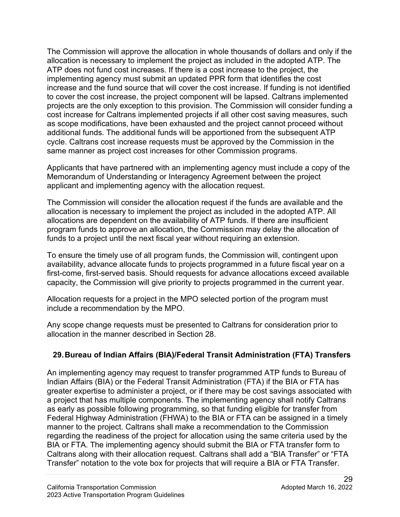The Commission will approve the allocation in whole thousands of dollars and only if the ATP does not fund cost increases. If there is a cost increase to the project, the allocation is necessary to implement the project as included in the adopted ATP. The implementing agency must submit an updated PPR form that identifies the cost increase and the fund source that will cover the cost increase. If funding is not identified to cover the cost increase, the project component will be lapsed. Caltrans implemented projects are the only exception to this provision. The Commission will consider funding a cost increase for Caltrans implemented projects if all other cost saving measures, such as scope modifications, have been exhausted and the project cannot proceed without additional funds. The additional funds will be apportioned from the subsequent ATP cycle. Caltrans cost increase requests must be approved by the Commission in the same manner as project cost increases for other Commission programs.

 applicant and implementing agency with the allocation request. Applicants that have partnered with an implementing agency must include a copy of the Memorandum of Understanding or Interagency Agreement between the project

 The Commission will consider the allocation request if the funds are available and the allocations are dependent on the availability of ATP funds. If there are insufficient funds to a project until the next fiscal year without requiring an extension. allocation is necessary to implement the project as included in the adopted ATP. All program funds to approve an allocation, the Commission may delay the allocation of

 To ensure the timely use of all program funds, the Commission will, contingent upon availability, advance allocate funds to projects programmed in a future fiscal year on a first-come, first-served basis. Should requests for advance allocations exceed available capacity, the Commission will give priority to projects programmed in the current year.

 Allocation requests for a project in the MPO selected portion of the program must include a recommendation by the MPO.

 Any scope change requests must be presented to Caltrans for consideration prior to allocation in the manner described in Section 28.

# **29.Bureau of Indian Affairs (BIA)/Federal Transit Administration (FTA) Transfers**

 Indian Affairs (BIA) or the Federal Transit Administration (FTA) if the BIA or FTA has Federal Highway Administration (FHWA) to the BIA or FTA can be assigned in a timely BIA or FTA. The implementing agency should submit the BIA or FTA transfer form to Transfer" notation to the vote box for projects that will require a BIA or FTA Transfer. An implementing agency may request to transfer programmed ATP funds to Bureau of greater expertise to administer a project, or if there may be cost savings associated with a project that has multiple components. The implementing agency shall notify Caltrans as early as possible following programming, so that funding eligible for transfer from manner to the project. Caltrans shall make a recommendation to the Commission regarding the readiness of the project for allocation using the same criteria used by the Caltrans along with their allocation request. Caltrans shall add a "BIA Transfer" or "FTA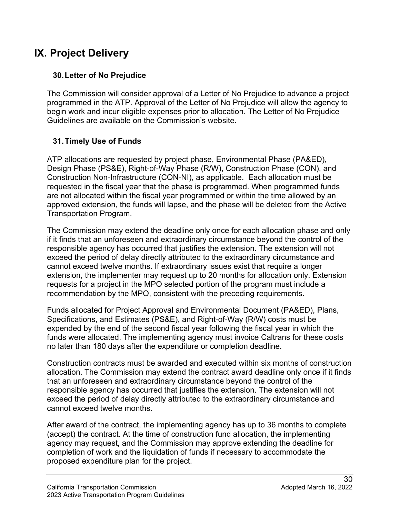# **IX. Project Delivery**

### **30.Letter of No Prejudice**

 programmed in the ATP. Approval of the Letter of No Prejudice will allow the agency to Guidelines are available on the Commission's website. The Commission will consider approval of a Letter of No Prejudice to advance a project begin work and incur eligible expenses prior to allocation. The Letter of No Prejudice

# **31.Timely Use of Funds**

 ATP allocations are requested by project phase, Environmental Phase (PA&ED), Construction Non-Infrastructure (CON-NI), as applicable. Each allocation must be requested in the fiscal year that the phase is programmed. When programmed funds approved extension, the funds will lapse, and the phase will be deleted from the Active Design Phase (PS&E), Right-of-Way Phase (R/W), Construction Phase (CON), and are not allocated within the fiscal year programmed or within the time allowed by an Transportation Program.

The Commission may extend the deadline only once for each allocation phase and only if it finds that an unforeseen and extraordinary circumstance beyond the control of the responsible agency has occurred that justifies the extension. The extension will not exceed the period of delay directly attributed to the extraordinary circumstance and cannot exceed twelve months. If extraordinary issues exist that require a longer extension, the implementer may request up to 20 months for allocation only. Extension requests for a project in the MPO selected portion of the program must include a recommendation by the MPO, consistent with the preceding requirements.

no later than 180 days after the expenditure or completion deadline. Funds allocated for Project Approval and Environmental Document (PA&ED), Plans, Specifications, and Estimates (PS&E), and Right-of-Way (R/W) costs must be expended by the end of the second fiscal year following the fiscal year in which the funds were allocated. The implementing agency must invoice Caltrans for these costs

no later than 180 days after the expenditure or completion deadline.<br>Construction contracts must be awarded and executed within six months of construction allocation. The Commission may extend the contract award deadline only once if it finds that an unforeseen and extraordinary circumstance beyond the control of the responsible agency has occurred that justifies the extension. The extension will not exceed the period of delay directly attributed to the extraordinary circumstance and cannot exceed twelve months.

After award of the contract, the implementing agency has up to 36 months to complete (accept) the contract. At the time of construction fund allocation, the implementing agency may request, and the Commission may approve extending the deadline for completion of work and the liquidation of funds if necessary to accommodate the proposed expenditure plan for the project.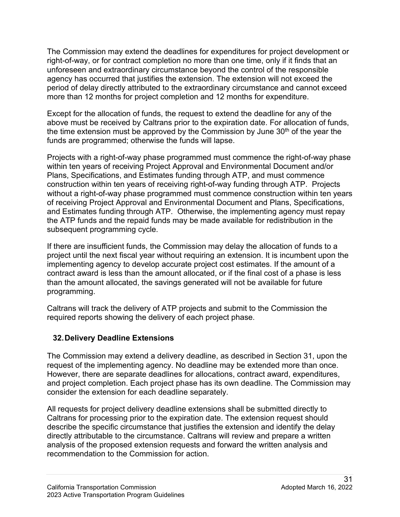The Commission may extend the deadlines for expenditures for project development or agency has occurred that justifies the extension. The extension will not exceed the right-of-way, or for contract completion no more than one time, only if it finds that an unforeseen and extraordinary circumstance beyond the control of the responsible period of delay directly attributed to the extraordinary circumstance and cannot exceed more than 12 months for project completion and 12 months for expenditure.

 Except for the allocation of funds, the request to extend the deadline for any of the above must be received by Caltrans prior to the expiration date. For allocation of funds, the time extension must be approved by the Commission by June  $30<sup>th</sup>$  of the year the funds are programmed; otherwise the funds will lapse.

 within ten years of receiving Project Approval and Environmental Document and/or and Estimates funding through ATP. Otherwise, the implementing agency must repay Projects with a right-of-way phase programmed must commence the right-of-way phase Plans, Specifications, and Estimates funding through ATP, and must commence construction within ten years of receiving right-of-way funding through ATP. Projects without a right-of-way phase programmed must commence construction within ten years of receiving Project Approval and Environmental Document and Plans, Specifications, the ATP funds and the repaid funds may be made available for redistribution in the subsequent programming cycle.

 contract award is less than the amount allocated, or if the final cost of a phase is less than the amount allocated, the savings generated will not be available for future programming. If there are insufficient funds, the Commission may delay the allocation of funds to a project until the next fiscal year without requiring an extension. It is incumbent upon the implementing agency to develop accurate project cost estimates. If the amount of a

Caltrans will track the delivery of ATP projects and submit to the Commission the required reports showing the delivery of each project phase.

# **32.Delivery Deadline Extensions**

The Commission may extend a delivery deadline, as described in Section 31, upon the request of the implementing agency. No deadline may be extended more than once. However, there are separate deadlines for allocations, contract award, expenditures, and project completion. Each project phase has its own deadline. The Commission may consider the extension for each deadline separately.

 All requests for project delivery deadline extensions shall be submitted directly to Caltrans for processing prior to the expiration date. The extension request should describe the specific circumstance that justifies the extension and identify the delay directly attributable to the circumstance. Caltrans will review and prepare a written analysis of the proposed extension requests and forward the written analysis and recommendation to the Commission for action.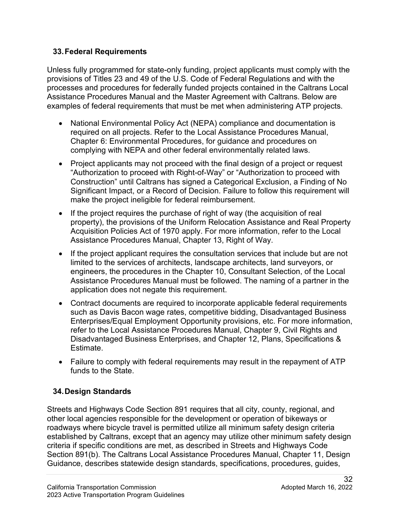#### **33.Federal Requirements**

 Unless fully programmed for state-only funding, project applicants must comply with the provisions of Titles 23 and 49 of the U.S. Code of Federal Regulations and with the processes and procedures for federally funded projects contained in the Caltrans Local examples of federal requirements that must be met when administering ATP projects. Assistance Procedures Manual and the Master Agreement with Caltrans. Below are

- required on all projects. Refer to the Local Assistance Procedures Manual, • National Environmental Policy Act (NEPA) compliance and documentation is Chapter 6: Environmental Procedures, for guidance and procedures on complying with NEPA and other federal environmentally related laws.
- • Project applicants may not proceed with the final design of a project or request "Authorization to proceed with Right-of-Way" or "Authorization to proceed with Construction" until Caltrans has signed a Categorical Exclusion, a Finding of No Significant Impact, or a Record of Decision. Failure to follow this requirement will make the project ineligible for federal reimbursement.
- • If the project requires the purchase of right of way (the acquisition of real property), the provisions of the Uniform Relocation Assistance and Real Property Acquisition Policies Act of 1970 apply. For more information, refer to the Local Assistance Procedures Manual, Chapter 13, Right of Way.
- engineers, the procedures in the Chapter 10, Consultant Selection, of the Local Assistance Procedures Manual must be followed. The naming of a partner in the • If the project applicant requires the consultation services that include but are not limited to the services of architects, landscape architects, land surveyors, or application does not negate this requirement.
- • Contract documents are required to incorporate applicable federal requirements Enterprises/Equal Employment Opportunity provisions, etc. For more information, refer to the Local Assistance Procedures Manual, Chapter 9, Civil Rights and Disadvantaged Business Enterprises, and Chapter 12, Plans, Specifications & Estimate. such as Davis Bacon wage rates, competitive bidding, Disadvantaged Business
- Failure to comply with federal requirements may result in the repayment of ATP funds to the State.

# **34.Design Standards**

Streets and Highways Code Section 891 requires that all city, county, regional, and other local agencies responsible for the development or operation of bikeways or roadways where bicycle travel is permitted utilize all minimum safety design criteria established by Caltrans, except that an agency may utilize other minimum safety design criteria if specific conditions are met, as described in Streets and Highways Code Section 891(b). The Caltrans Local Assistance Procedures Manual, Chapter 11, Design Guidance, describes statewide design standards, specifications, procedures, guides,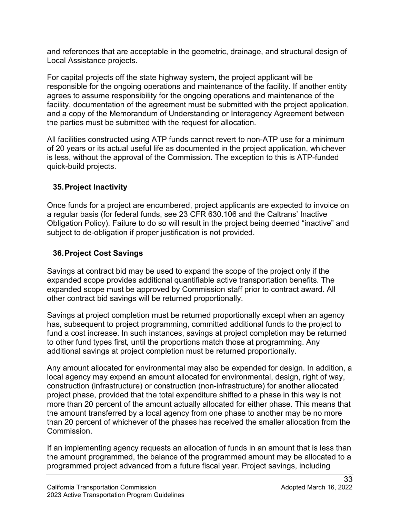and references that are acceptable in the geometric, drainage, and structural design of Local Assistance projects.

For capital projects off the state highway system, the project applicant will be responsible for the ongoing operations and maintenance of the facility. If another entity agrees to assume responsibility for the ongoing operations and maintenance of the facility, documentation of the agreement must be submitted with the project application, and a copy of the Memorandum of Understanding or Interagency Agreement between the parties must be submitted with the request for allocation.

All facilities constructed using ATP funds cannot revert to non-ATP use for a minimum of 20 years or its actual useful life as documented in the project application, whichever is less, without the approval of the Commission. The exception to this is ATP-funded quick-build projects.

### **35.Project Inactivity**

 a regular basis (for federal funds, see 23 CFR 630.106 and the Caltrans' Inactive Once funds for a project are encumbered, project applicants are expected to invoice on Obligation Policy). Failure to do so will result in the project being deemed "inactive" and subject to de-obligation if proper justification is not provided.

# **36.Project Cost Savings**

 Savings at contract bid may be used to expand the scope of the project only if the expanded scope provides additional quantifiable active transportation benefits. The expanded scope must be approved by Commission staff prior to contract award. All other contract bid savings will be returned proportionally.

 Savings at project completion must be returned proportionally except when an agency to other fund types first, until the proportions match those at programming. Any has, subsequent to project programming, committed additional funds to the project to fund a cost increase. In such instances, savings at project completion may be returned additional savings at project completion must be returned proportionally.

 Any amount allocated for environmental may also be expended for design. In addition, a construction (infrastructure) or construction (non-infrastructure) for another allocated project phase, provided that the total expenditure shifted to a phase in this way is not more than 20 percent of the amount actually allocated for either phase. This means that local agency may expend an amount allocated for environmental, design, right of way, the amount transferred by a local agency from one phase to another may be no more than 20 percent of whichever of the phases has received the smaller allocation from the Commission.

If an implementing agency requests an allocation of funds in an amount that is less than the amount programmed, the balance of the programmed amount may be allocated to a programmed project advanced from a future fiscal year. Project savings, including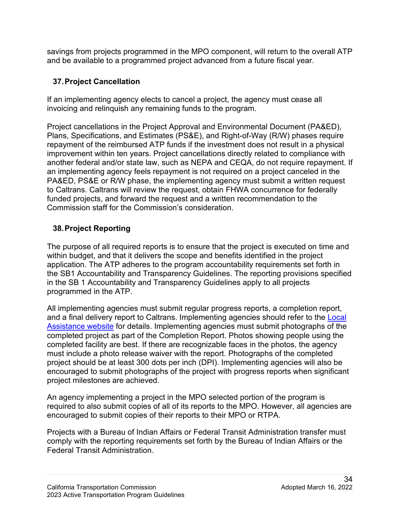savings from projects programmed in the MPO component, will return to the overall ATP and be available to a programmed project advanced from a future fiscal year.

# **37.Project Cancellation**

 If an implementing agency elects to cancel a project, the agency must cease all invoicing and relinquish any remaining funds to the program.

 Plans, Specifications, and Estimates (PS&E), and Right-of-Way (R/W) phases require repayment of the reimbursed ATP funds if the investment does not result in a physical another federal and/or state law, such as NEPA and CEQA, do not require repayment. If Project cancellations in the Project Approval and Environmental Document (PA&ED), improvement within ten years. Project cancellations directly related to compliance with an implementing agency feels repayment is not required on a project canceled in the PA&ED, PS&E or R/W phase, the implementing agency must submit a written request to Caltrans. Caltrans will review the request, obtain FHWA concurrence for federally funded projects, and forward the request and a written recommendation to the Commission staff for the Commission's consideration.

# **38.Project Reporting**

programmed in the ATP. The purpose of all required reports is to ensure that the project is executed on time and within budget, and that it delivers the scope and benefits identified in the project application. The ATP adheres to the program accountability requirements set forth in the SB1 Accountability and Transparency Guidelines. The reporting provisions specified in the SB 1 Accountability and Transparency Guidelines apply to all projects

<u>Assistance website</u> for details. Implementing agencies must submit photographs of the completed project as part of the Completion Report. Photos showing people using the must include a photo release waiver with the report. Photographs of the completed  project milestones are achieved. All implementing agencies must submit regular progress reports, a completion report, and a final delivery report to Caltrans. Implementing agencies should refer to the [Local](https://dot.ca.gov/programs/local-assistance/fed-and-state-programs/active-transportation-program/cycle5)  completed facility are best. If there are recognizable faces in the photos, the agency project should be at least 300 dots per inch (DPI). Implementing agencies will also be encouraged to submit photographs of the project with progress reports when significant

 required to also submit copies of all of its reports to the MPO. However, all agencies are encouraged to submit copies of their reports to their MPO or RTPA. An agency implementing a project in the MPO selected portion of the program is

 Projects with a Bureau of Indian Affairs or Federal Transit Administration transfer must comply with the reporting requirements set forth by the Bureau of Indian Affairs or the Federal Transit Administration.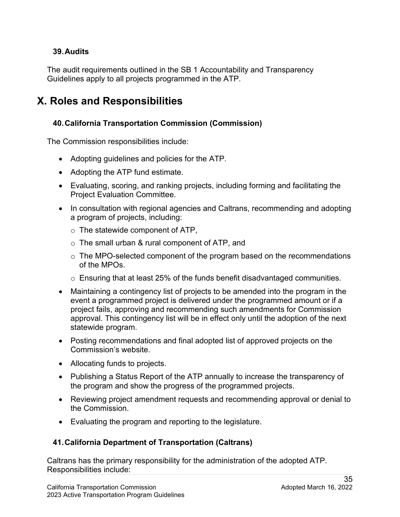#### **39.Audits**

 Guidelines apply to all projects programmed in the ATP. The audit requirements outlined in the SB 1 Accountability and Transparency

# **X. Roles and Responsibilities**

#### **40.California Transportation Commission (Commission)**

The Commission responsibilities include:

- Adopting guidelines and policies for the ATP.
- Adopting the ATP fund estimate.
- Evaluating, scoring, and ranking projects, including forming and facilitating the Project Evaluation Committee.
- In consultation with regional agencies and Caltrans, recommending and adopting a program of projects, including:
	- $\circ$  The statewide component of ATP,
	- $\circ~$  The small urban & rural component of ATP, and
	- $\circ$  The MPO-selected component of the program based on the recommendations of the MPOs.
	- $\circ~$  Ensuring that at least 25% of the funds benefit disadvantaged communities.
- • Maintaining a contingency list of projects to be amended into the program in the event a programmed project is delivered under the programmed amount or if a approval. This contingency list will be in effect only until the adoption of the next project fails, approving and recommending such amendments for Commission statewide program.
- • Posting recommendations and final adopted list of approved projects on the Commission's website.
- Allocating funds to projects.
- Publishing a Status Report of the ATP annually to increase the transparency of the program and show the progress of the programmed projects.
- Reviewing project amendment requests and recommending approval or denial to the Commission.
- Evaluating the program and reporting to the legislature.

#### **41.California Department of Transportation (Caltrans)**

Caltrans has the primary responsibility for the administration of the adopted ATP. Responsibilities include: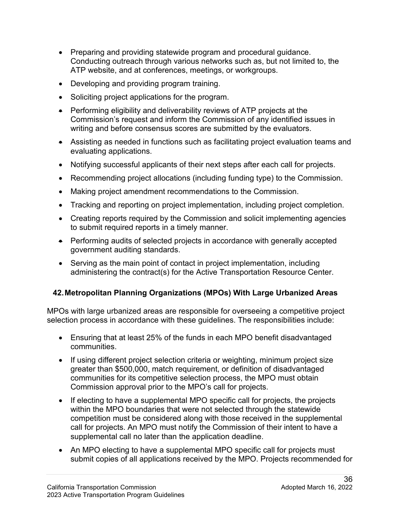- Preparing and providing statewide program and procedural guidance. Conducting outreach through various networks such as, but not limited to, the ATP website, and at conferences, meetings, or workgroups.
- Developing and providing program training.
- Soliciting project applications for the program.
- • Performing eligibility and deliverability reviews of ATP projects at the Commission's request and inform the Commission of any identified issues in writing and before consensus scores are submitted by the evaluators.
- • Assisting as needed in functions such as facilitating project evaluation teams and evaluating applications.
- Notifying successful applicants of their next steps after each call for projects.
- Recommending project allocations (including funding type) to the Commission.
- Making project amendment recommendations to the Commission.
- Tracking and reporting on project implementation, including project completion.
- • Creating reports required by the Commission and solicit implementing agencies to submit required reports in a timely manner.
- Performing audits of selected projects in accordance with generally accepted government auditing standards.
- • Serving as the main point of contact in project implementation, including administering the contract(s) for the Active Transportation Resource Center.

### **42.Metropolitan Planning Organizations (MPOs) With Large Urbanized Areas**

MPOs with large urbanized areas are responsible for overseeing a competitive project selection process in accordance with these guidelines. The responsibilities include:

- • Ensuring that at least 25% of the funds in each MPO benefit disadvantaged communities.
- If using different project selection criteria or weighting, minimum project size greater than \$500,000, match requirement, or definition of disadvantaged communities for its competitive selection process, the MPO must obtain Commission approval prior to the MPO's call for projects.
- call for projects. An MPO must notify the Commission of their intent to have a • If electing to have a supplemental MPO specific call for projects, the projects within the MPO boundaries that were not selected through the statewide competition must be considered along with those received in the supplemental supplemental call no later than the application deadline.
- An MPO electing to have a supplemental MPO specific call for projects must submit copies of all applications received by the MPO. Projects recommended for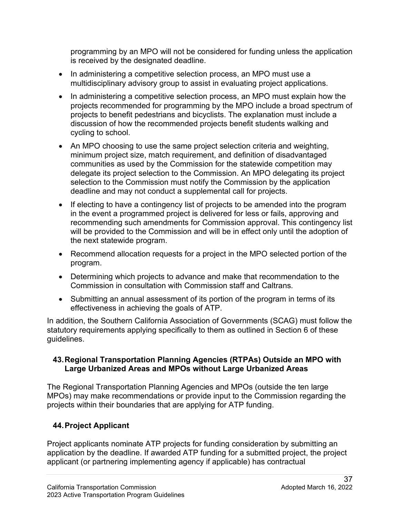programming by an MPO will not be considered for funding unless the application is received by the designated deadline.

- • In administering a competitive selection process, an MPO must use a multidisciplinary advisory group to assist in evaluating project applications.
- • In administering a competitive selection process, an MPO must explain how the projects recommended for programming by the MPO include a broad spectrum of projects to benefit pedestrians and bicyclists. The explanation must include a discussion of how the recommended projects benefit students walking and cycling to school.
- An MPO choosing to use the same project selection criteria and weighting, minimum project size, match requirement, and definition of disadvantaged communities as used by the Commission for the statewide competition may delegate its project selection to the Commission. An MPO delegating its project selection to the Commission must notify the Commission by the application deadline and may not conduct a supplemental call for projects.
- If electing to have a contingency list of projects to be amended into the program in the event a programmed project is delivered for less or fails, approving and recommending such amendments for Commission approval. This contingency list will be provided to the Commission and will be in effect only until the adoption of the next statewide program.
- • Recommend allocation requests for a project in the MPO selected portion of the program.
- Determining which projects to advance and make that recommendation to the Commission in consultation with Commission staff and Caltrans.
- • Submitting an annual assessment of its portion of the program in terms of its effectiveness in achieving the goals of ATP.

In addition, the Southern California Association of Governments (SCAG) must follow the statutory requirements applying specifically to them as outlined in Section 6 of these guidelines.

#### **43.Regional Transportation Planning Agencies (RTPAs) Outside an MPO with Large Urbanized Areas and MPOs without Large Urbanized Areas**

 projects within their boundaries that are applying for ATP funding. The Regional Transportation Planning Agencies and MPOs (outside the ten large MPOs) may make recommendations or provide input to the Commission regarding the

### **44.Project Applicant**

 application by the deadline. If awarded ATP funding for a submitted project, the project Project applicants nominate ATP projects for funding consideration by submitting an applicant (or partnering implementing agency if applicable) has contractual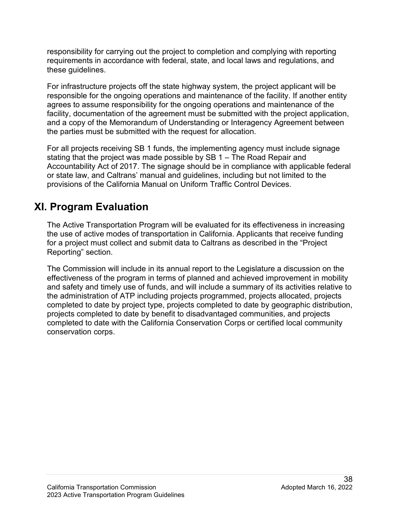responsibility for carrying out the project to completion and complying with reporting requirements in accordance with federal, state, and local laws and regulations, and these guidelines.

For infrastructure projects off the state highway system, the project applicant will be responsible for the ongoing operations and maintenance of the facility. If another entity agrees to assume responsibility for the ongoing operations and maintenance of the facility, documentation of the agreement must be submitted with the project application, and a copy of the Memorandum of Understanding or Interagency Agreement between the parties must be submitted with the request for allocation.

 or state law, and Caltrans' manual and guidelines, including but not limited to the For all projects receiving SB 1 funds, the implementing agency must include signage stating that the project was made possible by SB 1 – The Road Repair and Accountability Act of 2017. The signage should be in compliance with applicable federal provisions of the California Manual on Uniform Traffic Control Devices.

# **XI. Program Evaluation**

 Reporting" section. The Active Transportation Program will be evaluated for its effectiveness in increasing the use of active modes of transportation in California. Applicants that receive funding for a project must collect and submit data to Caltrans as described in the "Project

 effectiveness of the program in terms of planned and achieved improvement in mobility projects completed to date by benefit to disadvantaged communities, and projects The Commission will include in its annual report to the Legislature a discussion on the and safety and timely use of funds, and will include a summary of its activities relative to the administration of ATP including projects programmed, projects allocated, projects completed to date by project type, projects completed to date by geographic distribution, completed to date with the California Conservation Corps or certified local community conservation corps.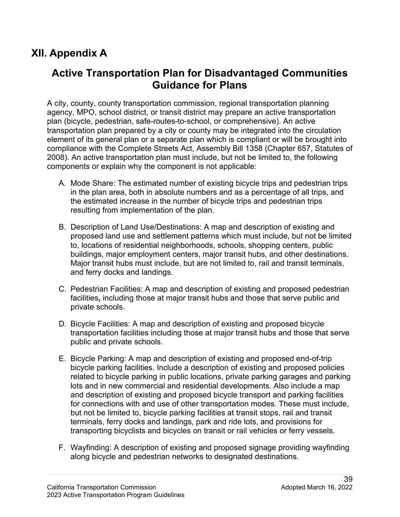# **XII. Appendix A**

# **Active Transportation Plan for Disadvantaged Communities Guidance for Plans**

 element of its general plan or a separate plan which is compliant or will be brought into compliance with the Complete Streets Act, Assembly Bill 1358 (Chapter 657, Statutes of components or explain why the component is not applicable: A city, county, county transportation commission, regional transportation planning agency, MPO, school district, or transit district may prepare an active transportation plan (bicycle, pedestrian, safe-routes-to-school, or comprehensive). An active transportation plan prepared by a city or county may be integrated into the circulation 2008). An active transportation plan must include, but not be limited to, the following

- A. Mode Share: The estimated number of existing bicycle trips and pedestrian trips in the plan area, both in absolute numbers and as a percentage of all trips, and the estimated increase in the number of bicycle trips and pedestrian trips resulting from implementation of the plan.
- proposed land use and settlement patterns which must include, but not be limited B. Description of Land Use/Destinations: A map and description of existing and to, locations of residential neighborhoods, schools, shopping centers, public buildings, major employment centers, major transit hubs, and other destinations. Major transit hubs must include, but are not limited to, rail and transit terminals, and ferry docks and landings.
- facilities**,** including those at major transit hubs and those that serve public and private schools. C. Pedestrian Facilities: A map and description of existing and proposed pedestrian
- public and private schools. D. Bicycle Facilities: A map and description of existing and proposed bicycle transportation facilities including those at major transit hubs and those that serve
- but not be limited to, bicycle parking facilities at transit stops, rail and transit transporting bicyclists and bicycles on transit or rail vehicles or ferry vessels. E. Bicycle Parking: A map and description of existing and proposed end-of-trip bicycle parking facilities. Include a description of existing and proposed policies related to bicycle parking in public locations, private parking garages and parking lots and in new commercial and residential developments. Also include a map and description of existing and proposed bicycle transport and parking facilities for connections with and use of other transportation modes. These must include, terminals, ferry docks and landings, park and ride lots, and provisions for
- F. Wayfinding: A description of existing and proposed signage providing wayfinding along bicycle and pedestrian networks to designated destinations.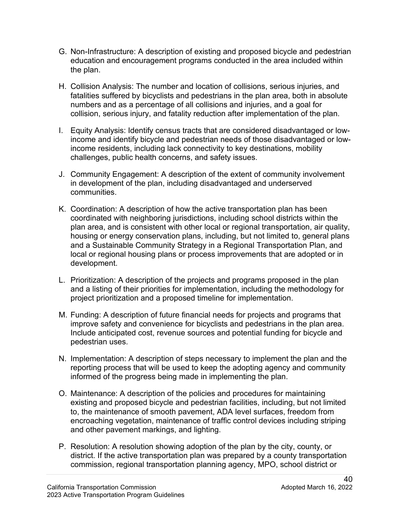- G. Non-Infrastructure: A description of existing and proposed bicycle and pedestrian education and encouragement programs conducted in the area included within the plan.
- collision, serious injury, and fatality reduction after implementation of the plan. H. Collision Analysis: The number and location of collisions, serious injuries, and fatalities suffered by bicyclists and pedestrians in the plan area, both in absolute numbers and as a percentage of all collisions and injuries, and a goal for
- I. Equity Analysis: Identify census tracts that are considered disadvantaged or lowchallenges, public health concerns, and safety issues. income and identify bicycle and pedestrian needs of those disadvantaged or lowincome residents, including lack connectivity to key destinations, mobility
- J. Community Engagement: A description of the extent of community involvement in development of the plan, including disadvantaged and underserved communities.
- coordinated with neighboring jurisdictions, including school districts within the housing or energy conservation plans, including, but not limited to, general plans K. Coordination: A description of how the active transportation plan has been plan area, and is consistent with other local or regional transportation, air quality, and a Sustainable Community Strategy in a Regional Transportation Plan, and local or regional housing plans or process improvements that are adopted or in development.
- L. Prioritization: A description of the projects and programs proposed in the plan and a listing of their priorities for implementation, including the methodology for project prioritization and a proposed timeline for implementation.
- M. Funding: A description of future financial needs for projects and programs that improve safety and convenience for bicyclists and pedestrians in the plan area. Include anticipated cost, revenue sources and potential funding for bicycle and pedestrian uses.
- N. Implementation: A description of steps necessary to implement the plan and the reporting process that will be used to keep the adopting agency and community informed of the progress being made in implementing the plan.
- existing and proposed bicycle and pedestrian facilities, including, but not limited to, the maintenance of smooth pavement, ADA level surfaces, freedom from O. Maintenance: A description of the policies and procedures for maintaining encroaching vegetation, maintenance of traffic control devices including striping and other pavement markings, and lighting.
- commission, regional transportation planning agency, MPO, school district or P. Resolution: A resolution showing adoption of the plan by the city, county, or district. If the active transportation plan was prepared by a county transportation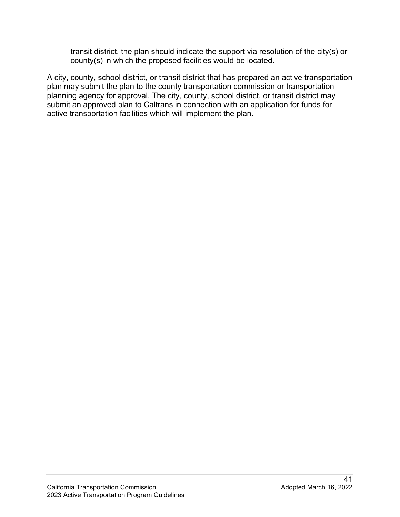transit district, the plan should indicate the support via resolution of the city(s) or county(s) in which the proposed facilities would be located.

 A city, county, school district, or transit district that has prepared an active transportation planning agency for approval. The city, county, school district, or transit district may plan may submit the plan to the county transportation commission or transportation submit an approved plan to Caltrans in connection with an application for funds for active transportation facilities which will implement the plan.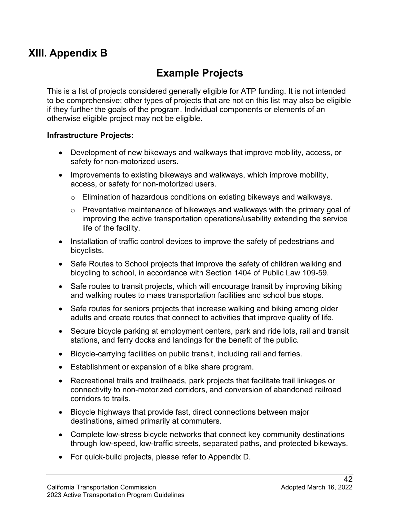# **XIII. Appendix B**

# **Example Projects**

 This is a list of projects considered generally eligible for ATP funding. It is not intended to be comprehensive; other types of projects that are not on this list may also be eligible if they further the goals of the program. Individual components or elements of an otherwise eligible project may not be eligible.

#### **Infrastructure Projects:**

- • Development of new bikeways and walkways that improve mobility, access, or safety for non-motorized users.
- • Improvements to existing bikeways and walkways, which improve mobility, access, or safety for non-motorized users.
	- $\circ$  Elimination of hazardous conditions on existing bikeways and walkways.
	- life of the facility. o Preventative maintenance of bikeways and walkways with the primary goal of improving the active transportation operations/usability extending the service
- Installation of traffic control devices to improve the safety of pedestrians and bicyclists.
- Safe Routes to School projects that improve the safety of children walking and bicycling to school, in accordance with Section 1404 of Public Law 109-59.
- and walking routes to mass transportation facilities and school bus stops. • Safe routes to transit projects, which will encourage transit by improving biking
- Safe routes for seniors projects that increase walking and biking among older adults and create routes that connect to activities that improve quality of life.
- Secure bicycle parking at employment centers, park and ride lots, rail and transit stations, and ferry docks and landings for the benefit of the public.
- Bicycle-carrying facilities on public transit, including rail and ferries.
- Establishment or expansion of a bike share program.
- • Recreational trails and trailheads, park projects that facilitate trail linkages or connectivity to non-motorized corridors, and conversion of abandoned railroad corridors to trails.
- Bicycle highways that provide fast, direct connections between major destinations, aimed primarily at commuters.
- Complete low-stress bicycle networks that connect key community destinations through low-speed, low-traffic streets, separated paths, and protected bikeways.
- For quick-build projects, please refer to Appendix D.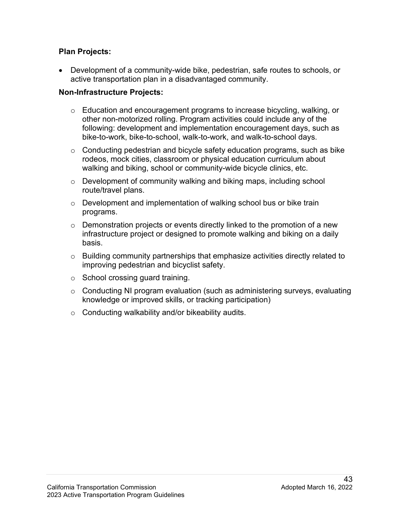#### **Plan Projects:**

 • Development of a community-wide bike, pedestrian, safe routes to schools, or active transportation plan in a disadvantaged community.

#### **Non-Infrastructure Projects:**

- $\circ$  Education and encouragement programs to increase bicycling, walking, or other non-motorized rolling. Program activities could include any of the following: development and implementation encouragement days, such as bike-to-work, bike-to-school, walk-to-work, and walk-to-school days.
- o Conducting pedestrian and bicycle safety education programs, such as bike rodeos, mock cities, classroom or physical education curriculum about walking and biking, school or community-wide bicycle clinics, etc.
- $\circ$  Development of community walking and biking maps, including school route/travel plans.
- $\circ$  Development and implementation of walking school bus or bike train programs.
- $\circ$  Demonstration projects or events directly linked to the promotion of a new infrastructure project or designed to promote walking and biking on a daily basis.
- $\circ$  Building community partnerships that emphasize activities directly related to improving pedestrian and bicyclist safety.
- $\circ$  School crossing guard training.
- o Conducting NI program evaluation (such as administering surveys, evaluating knowledge or improved skills, or tracking participation)
- $\circ$  Conducting walkability and/or bikeability audits.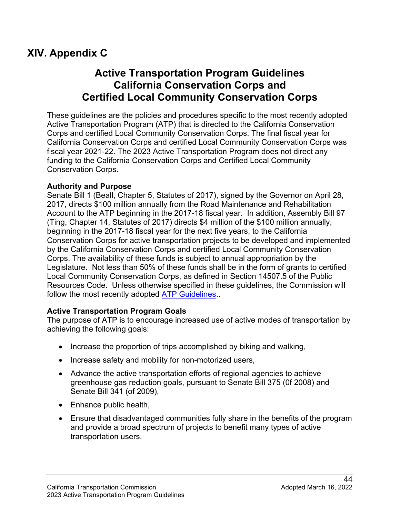# **XIV. Appendix C**

# **Active Transportation Program Guidelines California Conservation Corps and Certified Local Community Conservation Corps**

 fiscal year 2021-22. The 2023 Active Transportation Program does not direct any These guidelines are the policies and procedures specific to the most recently adopted Active Transportation Program (ATP) that is directed to the California Conservation Corps and certified Local Community Conservation Corps. The final fiscal year for California Conservation Corps and certified Local Community Conservation Corps was funding to the California Conservation Corps and Certified Local Community Conservation Corps.

#### **Authority and Purpose**

 Account to the ATP beginning in the 2017-18 fiscal year. In addition, Assembly Bill 97 Legislature. Not less than 50% of these funds shall be in the form of grants to certified Local Community Conservation Corps, as defined in Section 14507.5 of the Public follow the most recently adopted <u>ATP Guidelines</u>.. Senate Bill 1 (Beall, Chapter 5, Statutes of 2017), signed by the Governor on April 28, 2017, directs \$100 million annually from the Road Maintenance and Rehabilitation (Ting, Chapter 14, Statutes of 2017) directs \$4 million of the \$100 million annually, beginning in the 2017-18 fiscal year for the next five years, to the California Conservation Corps for active transportation projects to be developed and implemented by the California Conservation Corps and certified Local Community Conservation Corps. The availability of these funds is subject to annual appropriation by the Resources Code. Unless otherwise specified in these guidelines, the Commission will

### **Active Transportation Program Goals**

The purpose of ATP is to encourage increased use of active modes of transportation by achieving the following goals:

- Increase the proportion of trips accomplished by biking and walking,
- Increase safety and mobility for non-motorized users,
- Advance the active transportation efforts of regional agencies to achieve greenhouse gas reduction goals, pursuant to Senate Bill 375 (0f 2008) and Senate Bill 341 (of 2009),
- Enhance public health,
- and provide a broad spectrum of projects to benefit many types of active transportation users. • Ensure that disadvantaged communities fully share in the benefits of the program transportation users.<br>
44<br>California Transportation Commission Adopted March 16, 2022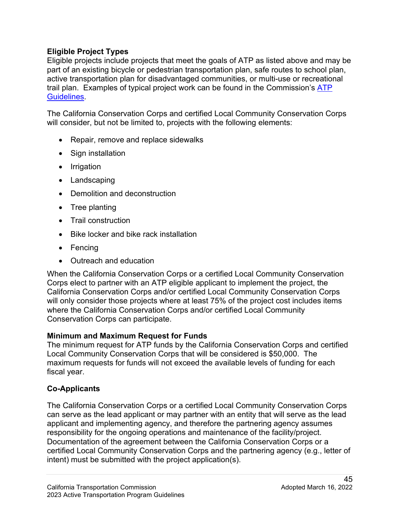### **Eligible Project Types**

Eligible projects include projects that meet the goals of ATP as listed above and may be part of an existing bicycle or pedestrian transportation plan, safe routes to school plan, active transportation plan for disadvantaged communities, or multi-use or recreational trail plan. Examples of typical project work can be found in the Commission's [ATP](https://catc.ca.gov/programs/active-transportation-program)  [Guidelines.](https://catc.ca.gov/programs/active-transportation-program)

The California Conservation Corps and certified Local Community Conservation Corps will consider, but not be limited to, projects with the following elements:

- Repair, remove and replace sidewalks
- Sign installation
- Irrigation
- Landscaping
- Demolition and deconstruction
- Tree planting
- Trail construction
- Bike locker and bike rack installation
- Fencing
- Outreach and education

 will only consider those projects where at least 75% of the project cost includes items Conservation Corps can participate. When the California Conservation Corps or a certified Local Community Conservation Corps elect to partner with an ATP eligible applicant to implement the project, the California Conservation Corps and/or certified Local Community Conservation Corps where the California Conservation Corps and/or certified Local Community

### **Minimum and Maximum Request for Funds**

 maximum requests for funds will not exceed the available levels of funding for each The minimum request for ATP funds by the California Conservation Corps and certified Local Community Conservation Corps that will be considered is \$50,000. The fiscal year.

### **Co-Applicants**

responsibility for the ongoing operations and maintenance of the facility/project. responsibility for the ongoing operations and maintenance of the facility/project.<br>Documentation of the agreement between the California Conservation Corps or a intent) must be submitted with the project application(s). California Transportation Commission Adopted March 16, 2022 The California Conservation Corps or a certified Local Community Conservation Corps can serve as the lead applicant or may partner with an entity that will serve as the lead applicant and implementing agency, and therefore the partnering agency assumes certified Local Community Conservation Corps and the partnering agency (e.g., letter of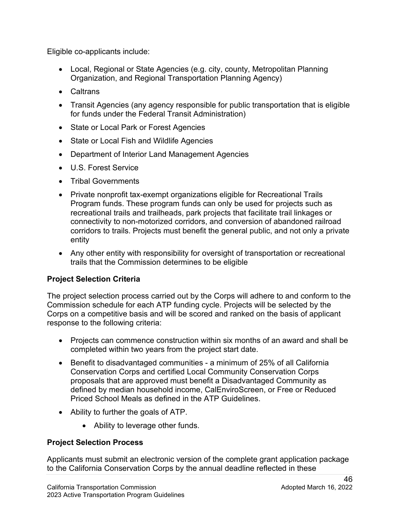Eligible co-applicants include:

- Local, Regional or State Agencies (e.g. city, county, Metropolitan Planning Organization, and Regional Transportation Planning Agency)
- Caltrans
- Transit Agencies (any agency responsible for public transportation that is eligible for funds under the Federal Transit Administration)
- State or Local Park or Forest Agencies
- State or Local Fish and Wildlife Agencies
- Department of Interior Land Management Agencies
- U.S. Forest Service
- Tribal Governments
- • Private nonprofit tax-exempt organizations eligible for Recreational Trails Program funds. These program funds can only be used for projects such as recreational trails and trailheads, park projects that facilitate trail linkages or corridors to trails. Projects must benefit the general public, and not only a private connectivity to non-motorized corridors, and conversion of abandoned railroad entity
- Any other entity with responsibility for oversight of transportation or recreational trails that the Commission determines to be eligible

### **Project Selection Criteria**

 Commission schedule for each ATP funding cycle. Projects will be selected by the The project selection process carried out by the Corps will adhere to and conform to the Corps on a competitive basis and will be scored and ranked on the basis of applicant response to the following criteria:

- • Projects can commence construction within six months of an award and shall be completed within two years from the project start date.
- Benefit to disadvantaged communities a minimum of 25% of all California Conservation Corps and certified Local Community Conservation Corps proposals that are approved must benefit a Disadvantaged Community as defined by median household income, CalEnviroScreen, or Free or Reduced Priced School Meals as defined in the ATP Guidelines.
- Ability to further the goals of ATP.
	- Ability to leverage other funds.

#### **Project Selection Process**

Applicants must submit an electronic version of the complete grant application package to the California Conservation Corps by the annual deadline reflected in these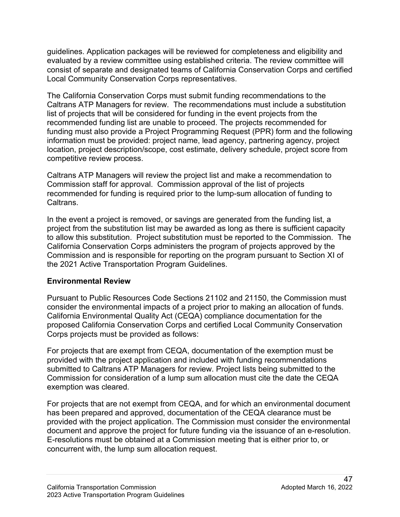consist of separate and designated teams of California Conservation Corps and certified guidelines. Application packages will be reviewed for completeness and eligibility and evaluated by a review committee using established criteria. The review committee will Local Community Conservation Corps representatives.

 Caltrans ATP Managers for review. The recommendations must include a substitution list of projects that will be considered for funding in the event projects from the funding must also provide a Project Programming Request (PPR) form and the following The California Conservation Corps must submit funding recommendations to the recommended funding list are unable to proceed. The projects recommended for information must be provided: project name, lead agency, partnering agency, project location, project description/scope, cost estimate, delivery schedule, project score from competitive review process.

 Commission staff for approval. Commission approval of the list of projects Caltrans ATP Managers will review the project list and make a recommendation to recommended for funding is required prior to the lump-sum allocation of funding to Caltrans.

 project from the substitution list may be awarded as long as there is sufficient capacity to allow this substitution. Project substitution must be reported to the Commission. The California Conservation Corps administers the program of projects approved by the In the event a project is removed, or savings are generated from the funding list, a Commission and is responsible for reporting on the program pursuant to Section XI of the 2021 Active Transportation Program Guidelines.

### **Environmental Review**

 consider the environmental impacts of a project prior to making an allocation of funds. California Environmental Quality Act (CEQA) compliance documentation for the proposed California Conservation Corps and certified Local Community Conservation Pursuant to Public Resources Code Sections 21102 and 21150, the Commission must Corps projects must be provided as follows:

For projects that are exempt from CEQA, documentation of the exemption must be provided with the project application and included with funding recommendations submitted to Caltrans ATP Managers for review. Project lists being submitted to the Commission for consideration of a lump sum allocation must cite the date the CEQA exemption was cleared.

 E-resolutions must be obtained at a Commission meeting that is either prior to, or For projects that are not exempt from CEQA, and for which an environmental document has been prepared and approved, documentation of the CEQA clearance must be provided with the project application. The Commission must consider the environmental document and approve the project for future funding via the issuance of an e-resolution. concurrent with, the lump sum allocation request.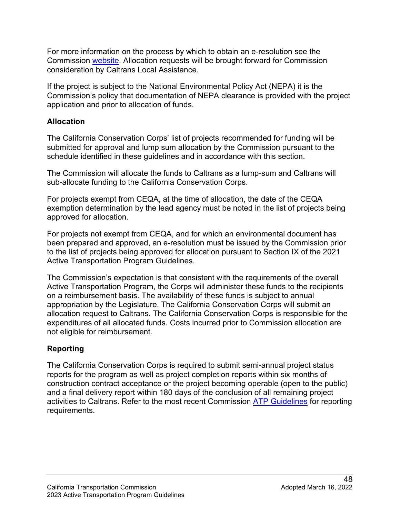consideration by Caltrans Local Assistance. For more information on the process by which to obtain an e-resolution see the Commission [website.](http://www.catc.ca.gov/programs/environmental/) Allocation requests will be brought forward for Commission

If the project is subject to the National Environmental Policy Act (NEPA) it is the Commission's policy that documentation of NEPA clearance is provided with the project application and prior to allocation of funds.

#### **Allocation**

schedule identified in these guidelines and in accordance with this section. The California Conservation Corps' list of projects recommended for funding will be submitted for approval and lump sum allocation by the Commission pursuant to the

sub-allocate funding to the California Conservation Corps. The Commission will allocate the funds to Caltrans as a lump-sum and Caltrans will

sub-allocate funding to the California Conservation Corps.<br>For projects exempt from CEQA, at the time of allocation, the date of the CEQA exemption determination by the lead agency must be noted in the list of projects being approved for allocation.

 For projects not exempt from CEQA, and for which an environmental document has been prepared and approved, an e-resolution must be issued by the Commission prior to the list of projects being approved for allocation pursuant to Section IX of the 2021 Active Transportation Program Guidelines.

 on a reimbursement basis. The availability of these funds is subject to annual The Commission's expectation is that consistent with the requirements of the overall Active Transportation Program, the Corps will administer these funds to the recipients appropriation by the Legislature. The California Conservation Corps will submit an allocation request to Caltrans. The California Conservation Corps is responsible for the expenditures of all allocated funds. Costs incurred prior to Commission allocation are not eligible for reimbursement.

# **Reporting**

 reports for the program as well as project completion reports within six months of requirements. The California Conservation Corps is required to submit semi-annual project status construction contract acceptance or the project becoming operable (open to the public) and a final delivery report within 180 days of the conclusion of all remaining project activities to Caltrans. Refer to the most recent Commission [ATP Guidelines](https://catc.ca.gov/programs/active-transportation-program) for reporting requirements.<br>48<br>California Transportation Commission Adopted March 16, 2022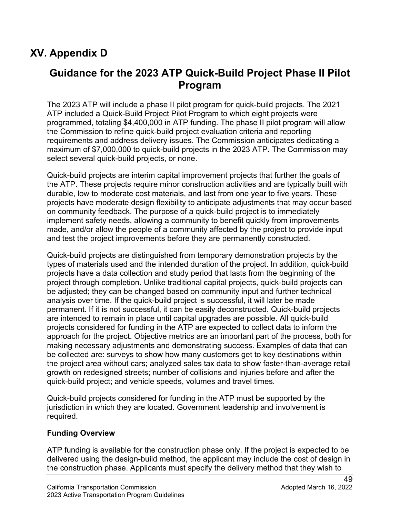# **XV. Appendix D**

# **Guidance for the 2023 ATP Quick-Build Project Phase II Pilot Program**

 The 2023 ATP will include a phase II pilot program for quick-build projects. The 2021 ATP included a Quick-Build Project Pilot Program to which eight projects were programmed, totaling \$4,400,000 in ATP funding. The phase II pilot program will allow the Commission to refine quick-build project evaluation criteria and reporting requirements and address delivery issues. The Commission anticipates dedicating a maximum of \$7,000,000 to quick-build projects in the 2023 ATP. The Commission may select several quick-build projects, or none.

 Quick-build projects are interim capital improvement projects that further the goals of the ATP. These projects require minor construction activities and are typically built with durable, low to moderate cost materials, and last from one year to five years. These projects have moderate design flexibility to anticipate adjustments that may occur based on community feedback. The purpose of a quick-build project is to immediately implement safety needs, allowing a community to benefit quickly from improvements made, and/or allow the people of a community affected by the project to provide input and test the project improvements before they are permanently constructed.

 projects have a data collection and study period that lasts from the beginning of the be adjusted; they can be changed based on community input and further technical permanent. If it is not successful, it can be easily deconstructed. Quick-build projects approach for the project. Objective metrics are an important part of the process, both for quick-build project; and vehicle speeds, volumes and travel times. Quick-build projects are distinguished from temporary demonstration projects by the types of materials used and the intended duration of the project. In addition, quick-build project through completion. Unlike traditional capital projects, quick-build projects can analysis over time. If the quick-build project is successful, it will later be made are intended to remain in place until capital upgrades are possible. All quick-build projects considered for funding in the ATP are expected to collect data to inform the making necessary adjustments and demonstrating success. Examples of data that can be collected are: surveys to show how many customers get to key destinations within the project area without cars; analyzed sales tax data to show faster-than-average retail growth on redesigned streets; number of collisions and injuries before and after the

 Quick-build projects considered for funding in the ATP must be supported by the jurisdiction in which they are located. Government leadership and involvement is required.

#### **Funding Overview**

ATP funding is available for the construction phase only. If the project is expected to be delivered using the design-build method, the applicant may include the cost of design in the construction phase. Applicants must specify the delivery method that they wish to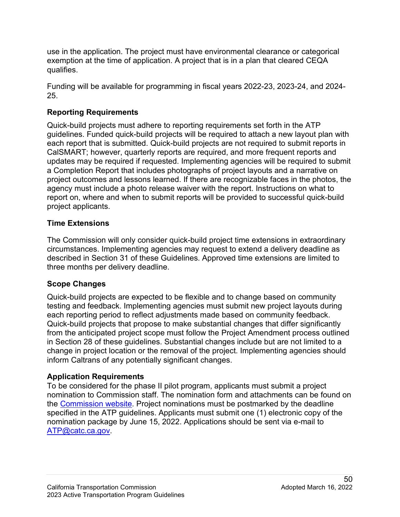use in the application. The project must have environmental clearance or categorical exemption at the time of application. A project that is in a plan that cleared CEQA qualifies.

Funding will be available for programming in fiscal years 2022-23, 2023-24, and 2024- 25.

### **Reporting Requirements**

 CalSMART; however, quarterly reports are required, and more frequent reports and project outcomes and lessons learned. If there are recognizable faces in the photos, the project applicants. Quick-build projects must adhere to reporting requirements set forth in the ATP guidelines. Funded quick-build projects will be required to attach a new layout plan with each report that is submitted. Quick-build projects are not required to submit reports in updates may be required if requested. Implementing agencies will be required to submit a Completion Report that includes photographs of project layouts and a narrative on agency must include a photo release waiver with the report. Instructions on what to report on, where and when to submit reports will be provided to successful quick-build

### **Time Extensions**

The Commission will only consider quick-build project time extensions in extraordinary circumstances. Implementing agencies may request to extend a delivery deadline as described in Section 31 of these Guidelines. Approved time extensions are limited to three months per delivery deadline.

### **Scope Changes**

 in Section 28 of these guidelines. Substantial changes include but are not limited to a inform Caltrans of any potentially significant changes. Quick-build projects are expected to be flexible and to change based on community testing and feedback. Implementing agencies must submit new project layouts during each reporting period to reflect adjustments made based on community feedback. Quick-build projects that propose to make substantial changes that differ significantly from the anticipated project scope must follow the Project Amendment process outlined change in project location or the removal of the project. Implementing agencies should

### **Application Requirements**

 To be considered for the phase II pilot program, applicants must submit a project specified in the ATP guidelines. Applicants must submit one (1) electronic copy of the nomination to Commission staff. The nomination form and attachments can be found on the [Commission website.](https://catc.ca.gov/programs/active-transportation-program) Project nominations must be postmarked by the deadline nomination package by June 15, 2022. Applications should be sent via e-mail to [ATP@catc.ca.gov.](mailto:ATP@catc.ca.gov)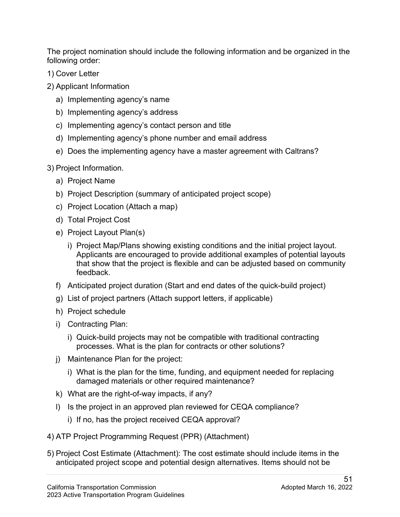The project nomination should include the following information and be organized in the following order:

- 1) Cover Letter
- 2) Applicant Information
	- a) Implementing agency's name
	- b) Implementing agency's address
	- c) Implementing agency's contact person and title
	- d) Implementing agency's phone number and email address
	- e) Does the implementing agency have a master agreement with Caltrans?
- 3) Project Information.
	- a) Project Name
	- b) Project Description (summary of anticipated project scope)
	- c) Project Location (Attach a map)
	- d) Total Project Cost
	- e) Project Layout Plan(s)
		- i) Project Map/Plans showing existing conditions and the initial project layout. Applicants are encouraged to provide additional examples of potential layouts that show that the project is flexible and can be adjusted based on community feedback.
	- f) Anticipated project duration (Start and end dates of the quick-build project)
	- g) List of project partners (Attach support letters, if applicable)
	- h) Project schedule
	- i) Contracting Plan:
		- i) Quick-build projects may not be compatible with traditional contracting processes. What is the plan for contracts or other solutions?
	- j) Maintenance Plan for the project:
		- i) What is the plan for the time, funding, and equipment needed for replacing damaged materials or other required maintenance?
	- k) What are the right-of-way impacts, if any?
	- l) Is the project in an approved plan reviewed for CEQA compliance?
		- i) If no, has the project received CEQA approval?
- 4) ATP Project Programming Request (PPR) (Attachment)
- 5) Project Cost Estimate (Attachment): The cost estimate should include items in the anticipated project scope and potential design alternatives. Items should not be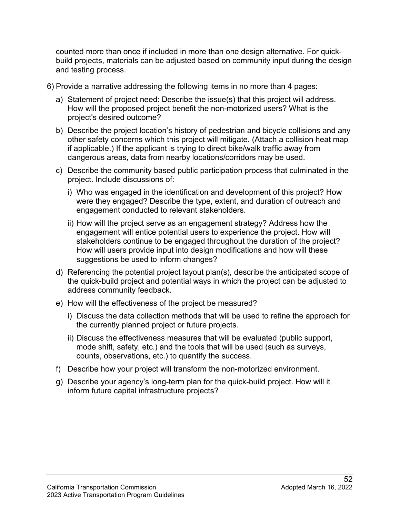counted more than once if included in more than one design alternative. For quickbuild projects, materials can be adjusted based on community input during the design and testing process.

- 6) Provide a narrative addressing the following items in no more than 4 pages:
	- a) Statement of project need: Describe the issue(s) that this project will address. How will the proposed project benefit the non-motorized users? What is the project's desired outcome?
	- b) Describe the project location's history of pedestrian and bicycle collisions and any other safety concerns which this project will mitigate. (Attach a collision heat map if applicable.) If the applicant is trying to direct bike/walk traffic away from dangerous areas, data from nearby locations/corridors may be used.
	- c) Describe the community based public participation process that culminated in the project. Include discussions of:
		- i) Who was engaged in the identification and development of this project? How were they engaged? Describe the type, extent, and duration of outreach and engagement conducted to relevant stakeholders.
		- ii) How will the project serve as an engagement strategy? Address how the engagement will entice potential users to experience the project. How will stakeholders continue to be engaged throughout the duration of the project? How will users provide input into design modifications and how will these suggestions be used to inform changes?
	- the quick-build project and potential ways in which the project can be adjusted to d) Referencing the potential project layout plan(s), describe the anticipated scope of address community feedback.
	- e) How will the effectiveness of the project be measured?
		- i) Discuss the data collection methods that will be used to refine the approach for the currently planned project or future projects.
		- ii) Discuss the effectiveness measures that will be evaluated (public support, mode shift, safety, etc.) and the tools that will be used (such as surveys, counts, observations, etc.) to quantify the success.
	- f) Describe how your project will transform the non-motorized environment.
	- g) Describe your agency's long-term plan for the quick-build project. How will it inform future capital infrastructure projects?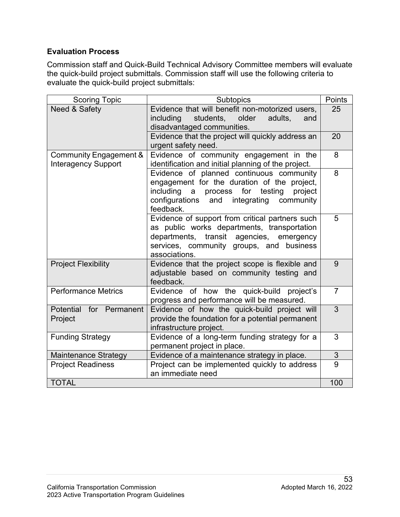#### **Evaluation Process**

 the quick-build project submittals. Commission staff will use the following criteria to Commission staff and Quick-Build Technical Advisory Committee members will evaluate evaluate the quick-build project submittals:

| <b>Scoring Topic</b>                                 | <b>Subtopics</b>                                                                                                                                                                                                                 |                       |  |  |  |
|------------------------------------------------------|----------------------------------------------------------------------------------------------------------------------------------------------------------------------------------------------------------------------------------|-----------------------|--|--|--|
| Need & Safety                                        | Evidence that will benefit non-motorized users,<br>students,<br>older<br>including<br>adults,<br>and<br>disadvantaged communities.                                                                                               | 25                    |  |  |  |
|                                                      | Evidence that the project will quickly address an<br>urgent safety need.                                                                                                                                                         | 20                    |  |  |  |
| Community Engagement &<br><b>Interagency Support</b> | Evidence of community engagement in the<br>identification and initial planning of the project.                                                                                                                                   | 8                     |  |  |  |
|                                                      | Evidence of planned continuous community<br>engagement for the duration of the project,<br>including<br>process<br>for<br>testing<br>$\overline{a}$<br>project<br>community<br>configurations<br>integrating<br>and<br>feedback. | 8                     |  |  |  |
|                                                      | Evidence of support from critical partners such<br>as public works departments, transportation<br>transit agencies,<br>departments,<br>emergency<br>services, community groups, and business<br>associations.                    | 5                     |  |  |  |
| <b>Project Flexibility</b>                           | Evidence that the project scope is flexible and<br>adjustable based on community testing and<br>feedback.                                                                                                                        | 9                     |  |  |  |
| <b>Performance Metrics</b>                           | of how the quick-build<br>Evidence<br>project's<br>progress and performance will be measured.                                                                                                                                    | $\overline{7}$        |  |  |  |
| Potential<br>for Permanent<br>Project                | Evidence of how the quick-build project will<br>provide the foundation for a potential permanent<br>infrastructure project.                                                                                                      | 3                     |  |  |  |
| <b>Funding Strategy</b>                              | Evidence of a long-term funding strategy for a<br>permanent project in place.                                                                                                                                                    | 3                     |  |  |  |
| <b>Maintenance Strategy</b>                          | Evidence of a maintenance strategy in place.                                                                                                                                                                                     | 3                     |  |  |  |
| <b>Project Readiness</b>                             | Project can be implemented quickly to address<br>an immediate need                                                                                                                                                               | $\overline{9}$<br>100 |  |  |  |
| <b>TOTAL</b>                                         |                                                                                                                                                                                                                                  |                       |  |  |  |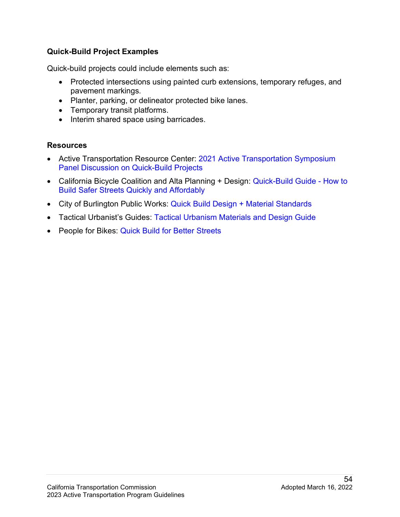### **Quick-Build Project Examples**

Quick-build projects could include elements such as:

- Protected intersections using painted curb extensions, temporary refuges, and pavement markings.
- Planter, parking, or delineator protected bike lanes.
- Temporary transit platforms.
- Interim shared space using barricades.

#### **Resources**

- Active Transportation Resource Center: 2021 Active Transportation Symposium [Panel Discussion on Quick-Build Projects](https://caatpresources.org/1600)
- California Bicycle Coalition and Alta Planning + Design: [Quick-Build Guide -](https://altago.com/wp-content/uploads/Quick-Build-Guide-White-Paper-2020-1.pdf) How to [Build Safer Streets Quickly and Affordably](https://altago.com/wp-content/uploads/Quick-Build-Guide-White-Paper-2020-1.pdf)
- City of Burlington Public Works: Quick Build Design + Material Standards
- Tactical Urbanist's Guides: [Tactical Urbanism Materials and Design Guide](http://tacticalurbanismguide.com/guides/)
- People for Bikes: [Quick Build for Better Streets](https://www.peopleforbikes.org/reports/quick-builds-for-better-streets-a-new-project-delivery)